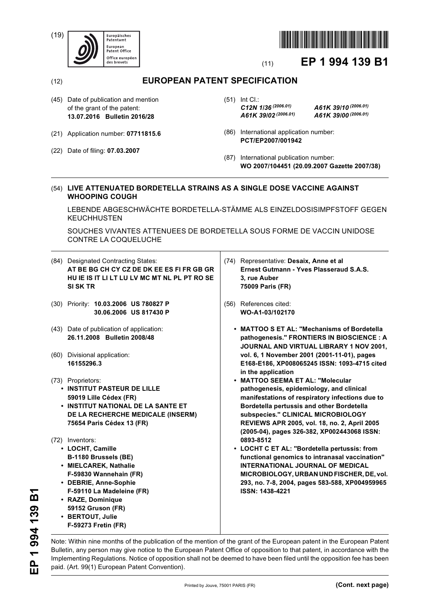(19)





# (11) **EP 1 994 139 B1**

## (12) **EUROPEAN PATENT SPECIFICATION**

- (45) Date of publication and mention of the grant of the patent: **13.07.2016 Bulletin 2016/28**
- (21) Application number: **07711815.6**
- (22) Date of filing: **07.03.2007**

(51) Int Cl.: *C12N 1/36 (2006.01) A61K 39/10 (2006.01) A61K 39/02 (2006.01) A61K 39/00 (2006.01)*

- (86) International application number: **PCT/EP2007/001942**
- (87) International publication number: **WO 2007/104451 (20.09.2007 Gazette 2007/38)**

#### (54) **LIVE ATTENUATED BORDETELLA STRAINS AS A SINGLE DOSE VACCINE AGAINST WHOOPING COUGH**

LEBENDE ABGESCHWÄCHTE BORDETELLA-STÄMME ALS EINZELDOSISIMPFSTOFF GEGEN **KEUCHHUSTEN** 

SOUCHES VIVANTES ATTENUEES DE BORDETELLA SOUS FORME DE VACCIN UNIDOSE CONTRE LA COQUELUCHE

| (84) Designated Contracting States:          |
|----------------------------------------------|
| AT BE BG CH CY CZ DE DK EE ES FI FR GB GR    |
| HU IE IS IT LI LT LU LV MC MT NL PL PT RO SE |
| SI SK TR                                     |
|                                              |

- (30) Priority: **10.03.2006 US 780827 P 30.06.2006 US 817430 P**
- (43) Date of publication of application: **26.11.2008 Bulletin 2008/48**
- (60) Divisional application: **16155296.3**

## (73) Proprietors:

- **INSTITUT PASTEUR DE LILLE 59019 Lille Cédex (FR)**
- **INSTITUT NATIONAL DE LA SANTE ET DE LA RECHERCHE MEDICALE (INSERM) 75654 Paris Cédex 13 (FR)**
- (72) Inventors:
	- **LOCHT, Camille B-1180 Brussels (BE)**
	- **MIELCAREK, Nathalie F-59830 Wannehain (FR)**
	- **DEBRIE, Anne-Sophie F-59110 La Madeleine (FR)**
	- **RAZE, Dominique 59152 Gruson (FR)**
	- **BERTOUT, Julie**
	- **F-59273 Fretin (FR)**
- (74) Representative: **Desaix, Anne et al Ernest Gutmann - Yves Plasseraud S.A.S. 3, rue Auber 75009 Paris (FR)**
- (56) References cited: **WO-A1-03/102170** 
	- **MATTOO S ET AL: "Mechanisms of Bordetella pathogenesis." FRONTIERS IN BIOSCIENCE : A JOURNAL AND VIRTUAL LIBRARY 1 NOV 2001, vol. 6, 1 November 2001 (2001-11-01), pages E168-E186, XP008065245 ISSN: 1093-4715 cited in the application**
	- **MATTOO SEEMA ET AL: "Molecular pathogenesis, epidemiology, and clinical manifestations of respiratory infections due to Bordetella pertussis and other Bordetella subspecies." CLINICAL MICROBIOLOGY REVIEWS APR 2005, vol. 18, no. 2, April 2005 (2005-04), pages 326-382, XP002443068 ISSN: 0893-8512**
	- **LOCHT C ET AL: "Bordetella pertussis: from functional genomics to intranasal vaccination" INTERNATIONAL JOURNAL OF MEDICAL MICROBIOLOGY, URBAN UND FISCHER, DE, vol. 293, no. 7-8, 2004, pages 583-588, XP004959965 ISSN: 1438-4221**

Note: Within nine months of the publication of the mention of the grant of the European patent in the European Patent Bulletin, any person may give notice to the European Patent Office of opposition to that patent, in accordance with the Implementing Regulations. Notice of opposition shall not be deemed to have been filed until the opposition fee has been paid. (Art. 99(1) European Patent Convention).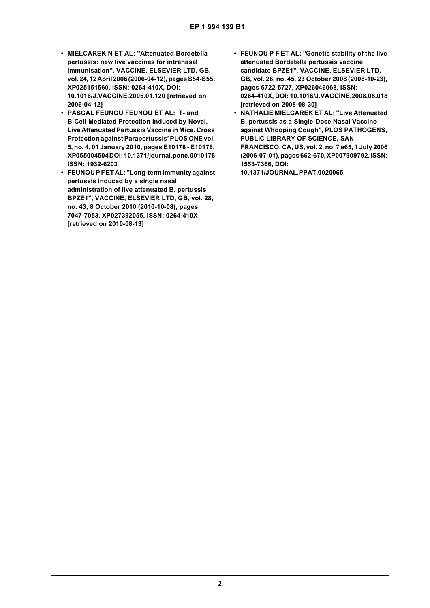- **MIELCAREK N ET AL: "Attenuated Bordetella pertussis: new live vaccines for intranasal immunisation", VACCINE, ELSEVIER LTD, GB, vol. 24, 12 April 2006 (2006-04-12), pages S54-S55, XP025151560, ISSN: 0264-410X, DOI: 10.1016/J.VACCINE.2005.01.120 [retrieved on 2006-04-12]**
- **PASCAL FEUNOU FEUNOU ET AL: 'T- and B-Cell-Mediated Protection Induced by Novel, Live Attenuated Pertussis Vaccine in Mice. Cross Protection against Parapertussis' PLOS ONE vol. 5, no. 4, 01 January 2010, pages E10178 - E10178, XP055004504 DOI: 10.1371/journal.pone.0010178 ISSN: 1932-6203**
- **FEUNOU P F ET AL: "Long-term immunity against pertussis induced by a single nasal administration of live attenuated B. pertussis BPZE1", VACCINE, ELSEVIER LTD, GB, vol. 28, no. 43, 8 October 2010 (2010-10-08), pages 7047-7053, XP027392055, ISSN: 0264-410X [retrieved on 2010-08-13]**
- **FEUNOU P F ET AL: "Genetic stability of the live attenuated Bordetella pertussis vaccine candidate BPZE1", VACCINE, ELSEVIER LTD, GB, vol. 26, no. 45, 23 October 2008 (2008-10-23), pages 5722-5727, XP026046068, ISSN: 0264-410X, DOI: 10.1016/J.VACCINE.2008.08.018 [retrieved on 2008-08-30]**
- **NATHALIE MIELCAREK ET AL: "Live Attenuated B. pertussis as a Single-Dose Nasal Vaccine against Whooping Cough", PLOS PATHOGENS, PUBLIC LIBRARY OF SCIENCE, SAN FRANCISCO, CA, US, vol. 2, no. 7 e65, 1 July 2006 (2006-07-01), pages 662-670, XP007909792, ISSN: 1553-7366, DOI: 10.1371/JOURNAL.PPAT.0020065**

**2**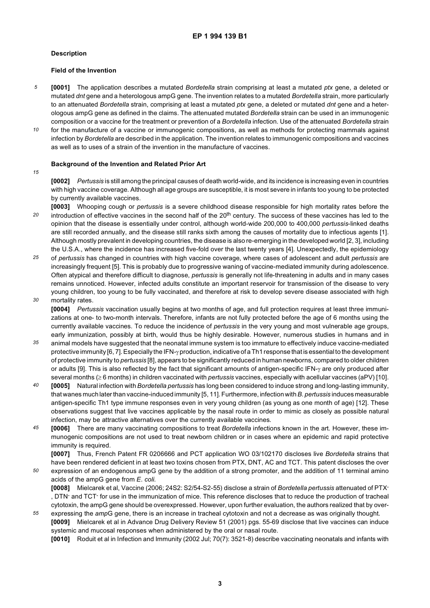#### **Description**

#### **Field of the Invention**

- *5* **[0001]** The application describes a mutated *Bordetella* strain comprising at least a mutated *ptx* gene, a deleted or mutated *dnt* gene and a heterologous ampG gene. The invention relates to a mutated *Bordetella* strain, more particularly to an attenuated *Bordetella* strain, comprising at least a mutated *ptx* gene, a deleted or mutated *dnt* gene and a heterologous ampG gene as defined in the claims. The attenuated mutated *Bordetella* strain can be used in an immunogenic composition or a vaccine for the treatment or prevention of a *Bordetella* infection. Use of the attenuated *Bordetella* strain
- *10* for the manufacture of a vaccine or immunogenic compositions, as well as methods for protecting mammals against infection by *Bordetella* are described in the application. The invention relates to immunogenic compositions and vaccines as well as to uses of a strain of the invention in the manufacture of vaccines.

#### **Background of the Invention and Related Prior Art**

#### *15*

**[0002]** *Pertussis* is still among the principal causes of death world-wide, and its incidence is increasing even in countries with high vaccine coverage. Although all age groups are susceptible, it is most severe in infants too young to be protected by currently available vaccines.

- *20* **[0003]** Whooping cough or *pertussis* is a severe childhood disease responsible for high mortality rates before the introduction of effective vaccines in the second half of the 20<sup>th</sup> century. The success of these vaccines has led to the opinion that the disease is essentially under control, although world-wide 200,000 to 400,000 *pertussis*-linked deaths are still recorded annually, and the disease still ranks sixth among the causes of mortality due to infectious agents [1]. Although mostly prevalent in developing countries, the disease is also re-emerging in the developed world [2, 3], including the U.S.A., where the incidence has increased five-fold over the last twenty years [4]. Unexpectedly, the epidemiology
- *25 30* of *pertussis* has changed in countries with high vaccine coverage, where cases of adolescent and adult *pertussis* are increasingly frequent [5]. This is probably due to progressive waning of vaccine-mediated immunity during adolescence. Often atypical and therefore difficult to diagnose, *pertussis* is generally not life-threatening in adults and in many cases remains unnoticed. However, infected adults constitute an important reservoir for transmission of the disease to very young children, too young to be fully vaccinated, and therefore at risk to develop severe disease associated with high mortality rates.
- 

**[0004]** *Pertussis* vaccination usually begins at two months of age, and full protection requires at least three immunizations at one- to two-month intervals. Therefore, infants are not fully protected before the age of 6 months using the currently available vaccines. To reduce the incidence of *pertussis* in the very young and most vulnerable age groups, early immunization, possibly at birth, would thus be highly desirable. However, numerous studies in humans and in

- *35* animal models have suggested that the neonatal immune system is too immature to effectively induce vaccine-mediated protective immunity [6, 7]. Especially the IFN-γ production, indicative of a Th1 response that is essential to the development of protective immunity to *pertussis* [8], appears to be significantly reduced in human newborns, compared to older children or adults [9]. This is also reflected by the fact that significant amounts of antigen-specific IFN-γ are only produced after several months (≥ 6 months) in children vaccinated with *pertussis* vaccines, especially with acellular vaccines (aPV) [10].
- *40* **[0005]** Natural infection with *Bordetella pertussis* has long been considered to induce strong and long-lasting immunity, that wanes much later than vaccine-induced immunity [5, 11]. Furthermore, infection with *B. pertussis* induces measurable antigen-specific Th1 type immune responses even in very young children (as young as one month of age) [12]. These observations suggest that live vaccines applicable by the nasal route in order to mimic as closely as possible natural infection, may be attractive alternatives over the currently available vaccines.
- *45* **[0006]** There are many vaccinating compositions to treat *Bordetella* infections known in the art. However, these immunogenic compositions are not used to treat newborn children or in cases where an epidemic and rapid protective immunity is required.

**[0007]** Thus, French Patent FR 0206666 and PCT application WO 03/102170 discloses live *Bordetella* strains that have been rendered deficient in at least two toxins chosen from PTX, DNT, AC and TCT. This patent discloses the over

- *50 55* expression of an endogenous ampG gene by the addition of a strong promoter, and the addition of 11 terminal amino acids of the ampG gene from *E*. *coli.* **[0008]** Mielcarek et al, Vaccine (2006; 24S2: S2/54-S2-55) disclose a strain of *Bordetella pertussis* attenuated of PTX- , DTN- and TCT- for use in the immunization of mice. This reference discloses that to reduce the production of tracheal cytotoxin, the ampG gene should be overexpressed. However, upon further evaluation, the authors realized that by over
	- expressing the *amp*G gene, there is an increase in tracheal cytotoxin and not a decrease as was originally thought. **[0009]** Mielcarek et al in Advance Drug Delivery Review 51 (2001) pgs. 55-69 disclose that live vaccines can induce systemic and mucosal responses when administered by the oral or nasal route.

**[0010]** Roduit et al in Infection and Immunity (2002 Jul; 70(7): 3521-8) describe vaccinating neonatals and infants with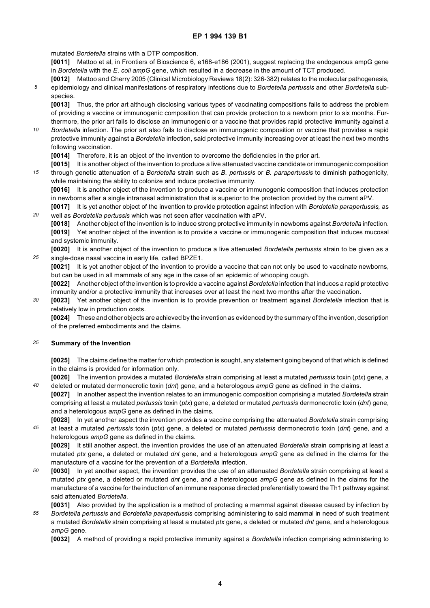mutated *Bordetella* strains with a DTP composition.

**[0011]** Mattoo et al, in Frontiers of Bioscience 6, e168-e186 (2001), suggest replacing the endogenous ampG gene in *Bordetella* with the *E*. *coli ampG* gene, which resulted in a decrease in the amount of TCT produced.

*5* **[0012]** Mattoo and Cherry 2005 (Clinical Microbiology Reviews 18(2): 326-382) relates to the molecular pathogenesis, epidemiology and clinical manifestations of respiratory infections due to *Bordetella pertussis* and other *Bordetella* subspecies.

**[0013]** Thus, the prior art although disclosing various types of vaccinating compositions fails to address the problem of providing a vaccine or immunogenic composition that can provide protection to a newborn prior to six months. Furthermore, the prior art fails to disclose an immunogenic or a vaccine that provides rapid protective immunity against a

*10 Bordetella* infection. The prior art also fails to disclose an immunogenic composition or vaccine that provides a rapid protective immunity against a *Bordetella* infection, said protective immunity increasing over at least the next two months following vaccination.

**[0014]** Therefore, it is an object of the invention to overcome the deficiencies in the prior art.

**[0015]** It is another object of the invention to produce a live attenuated vaccine candidate or immunogenic composition

*15* through genetic attenuation of a *Bordetella* strain such as *B. pertussis* or *B. parapertussis* to diminish pathogenicity, while maintaining the ability to colonize and induce protective immunity.

**[0016]** It is another object of the invention to produce a vaccine or immunogenic composition that induces protection in newborns after a single intranasal administration that is superior to the protection provided by the current aPV.

**[0017]** It is yet another object of the invention to provide protection against infection with *Bordetella parapertussis,* as well as *Bordetella pertussis* which was not seen after vaccination with aPV.

**[0018]** Another object of the invention is to induce strong protective immunity in newboms against *Bordetella* infection. **[0019]** Yet another object of the invention is to provide a vaccine or immunogenic composition that induces mucosal and systemic immunity.

*25* **[0020]** It is another object of the invention to produce a live attenuated *Bordetella pertussis* strain to be given as a single-dose nasal vaccine in early life, called BPZE1.

**[0021]** It is yet another object of the invention to provide a vaccine that can not only be used to vaccinate newborns, but can be used in all mammals of any age in the case of an epidemic of whooping cough.

**[0022]** Another object of the invention is to provide a vaccine against *Bordetella* infection that induces a rapid protective immunity and/or a protective immunity that increases over at least the next two months after the vaccination.

*30* **[0023]** Yet another object of the invention is to provide prevention or treatment against *Bordetella* infection that is relatively low in production costs.

**[0024]** These and other objects are achieved by the invention as evidenced by the summary of the invention, description of the preferred embodiments and the claims.

#### *35* **Summary of the Invention**

*20*

*40*

**[0025]** The claims define the matter for which protection is sought, any statement going beyond of that which is defined in the claims is provided for information only.

**[0026]** The invention provides a mutated *Bordetella* strain comprising at least a mutated *pertussis* toxin (*ptx*) gene, a deleted or mutated dermonecrotic toxin (*dnt*) gene, and a heterologous *ampG* gene as defined in the claims.

- **[0027]** In another aspect the invention relates to an immunogenic composition comprising a mutated *Bordetella* strain comprising at least a mutated *pertussis* toxin (*ptx*) gene, a deleted or mutated *pertussis* dermonecrotic toxin (*dnt*) gene, and a heterologous *ampG* gene as defined in the claims.
- *45* **[0028]** In yet another aspect the invention provides a vaccine comprising the attenuated *Bordetella* strain comprising at least a mutated *pertussis* toxin (*ptx*) gene, a deleted or mutated *pertussis* dermonecrotic toxin (*dnt*) gene, and a heterologous *ampG* gene as defined in the claims.

**[0029]** It still another aspect, the invention provides the use of an attenuated *Bordetella* strain comprising at least a mutated *ptx* gene, a deleted or mutated *dnt* gene, and a heterologous *ampG* gene as defined in the claims for the manufacture of a vaccine for the prevention of a *Bordetella* infection.

- *50* **[0030]** In yet another aspect, the invention provides the use of an attenuated *Bordetella* strain comprising at least a mutated *ptx* gene, a deleted or mutated *dnt* gene, and a heterologous *ampG* gene as defined in the claims for the manufacture of a vaccine for the induction of an immune response directed preferentially toward the Th1 pathway against said attenuated *Bordetella.*
- *55* **[0031]** Also provided by the application is a method of protecting a mammal against disease caused by infection by *Bordetella pertussis* and *Bordetella parapertussis* comprising administering to said mammal in need of such treatment a mutated *Bordetella* strain comprising at least a mutated *ptx* gene, a deleted or mutated *dnt* gene, and a heterologous *ampG* gene.

**[0032]** A method of providing a rapid protective immunity against a *Bordetella* infection comprising administering to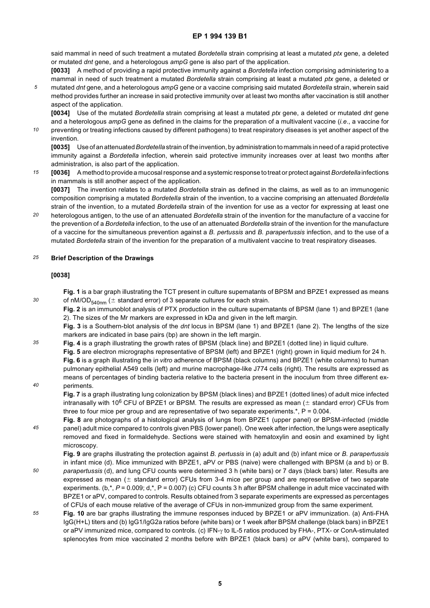said mammal in need of such treatment a mutated *Bordetella* strain comprising at least a mutated *ptx* gene, a deleted or mutated *dnt* gene, and a heterologous *ampG* gene is also part of the application.

**[0033]** A method of providing a rapid protective immunity against a *Bordetella* infection comprising administering to a mammal in need of such treatment a mutated *Bordetella* strain comprising at least a mutated *ptx* gene, a deleted or

*5* mutated *dnt* gene, and a heterologous *ampG* gene or a vaccine comprising said mutated *Bordetella* strain, wherein said method provides further an increase in said protective immunity over at least two months after vaccination is still another aspect of the application.

**[0034]** Use of the mutated *Bordetella* strain comprising at least a mutated *ptx* gene, a deleted or mutated *dnt* gene and a heterologous *ampG* gene as defined in the claims for the preparation of a multivalent vaccine (*i.e*., a vaccine for

*10* preventing or treating infections caused by different pathogens) to treat respiratory diseases is yet another aspect of the invention.

**[0035]** Use of an attenuated *Bordetella* strain of the invention, by administration to mammals in need of a rapid protective immunity against a *Bordetella* infection, wherein said protective immunity increases over at least two months after administration, is also part of the application.

*15* **[0036]** A method to provide a mucosal response and a systemic response to treat or protect against *Bordetella* infections in mammals is still another aspect of the application.

**[0037]** The invention relates to a mutated *Bordetella* strain as defined in the claims, as well as to an immunogenic composition comprising a mutated *Bordetella* strain of the invention, to a vaccine comprising an attenuated *Bordetella* strain of the invention, to a mutated *Bordetella* strain of the invention for use as a vector for expressing at least one

*20* heterologous antigen, to the use of an attenuated *Bordetella* strain of the invention for the manufacture of a vaccine for the prevention of a *Bordetella* infection, to the use of an attenuated *Bordetella* strain of the invention for the manufacture of a vaccine for the simultaneous prevention against a *B. pertussis* and *B. parapertussis* infection, and to the use of a mutated *Bordetella* strain of the invention for the preparation of a multivalent vaccine to treat respiratory diseases.

#### *25* **Brief Description of the Drawings**

#### **[0038]**

*30*

*40*

- **Fig. 1** is a bar graph illustrating the TCT present in culture supernatants of BPSM and BPZE1 expressed as means of nM/OD<sub>540nm</sub> ( $\pm$  standard error) of 3 separate cultures for each strain.
	- **Fig. 2** is an immunoblot analysis of PTX production in the culture supernatants of BPSM (lane 1) and BPZE1 (lane 2). The sizes of the Mr markers are expressed in kDa and given in the left margin.

**Fig. 3** is a Southern-blot analysis of the *dnt* locus in BPSM (lane 1) and BPZE1 (lane 2). The lengths of the size markers are indicated in base pairs (bp) are shown in the left margin.

*35* **Fig. 4** is a graph illustrating the growth rates of BPSM (black line) and BPZE1 (dotted line) in liquid culture.

**Fig. 5** are electron micrographs representative of BPSM (left) and BPZE1 (right) grown in liquid medium for 24 h. **Fig. 6** is a graph illustrating the i*n vitro* adherence of BPSM (black columns) and BPZE1 (white columns) to human pulmonary epithelial A549 cells (left) and murine macrophage-like J774 cells (right). The results are expressed as means of percentages of binding bacteria relative to the bacteria present in the inoculum from three different experiments.

**Fig. 7** is a graph illustrating lung colonization by BPSM (black lines) and BPZE1 (dotted lines) of adult mice infected intranasally with 10<sup>6</sup> CFU of BPZE1 or BPSM. The results are expressed as mean  $(±$  standard error) CFUs from three to four mice per group and are representative of two separate experiments.\*,  $P = 0.004$ .

*45* **Fig. 8** are photographs of a histological analysis of lungs from BPZE1 (upper panel) or BPSM-infected (middle panel) adult mice compared to controls given PBS (lower panel). One week after infection, the lungs were aseptically removed and fixed in formaldehyde. Sections were stained with hematoxylin and eosin and examined by light microscopy.

**Fig. 9** are graphs illustrating the protection against *B. pertussis* in (a) adult and (b) infant mice or *B. parapertussis* in infant mice (d). Mice immunized with BPZE1, aPV or PBS (naive) were challenged with BPSM (a and b) or B.

- *50 parapertussis* (d), and lung CFU counts were determined 3 h (white bars) or 7 days (black bars) later. Results are expressed as mean ( $\pm$  standard error) CFUs from 3-4 mice per group and are representative of two separate experiments. (b,\*,  $P = 0.009$ ; d,\*, P = 0.007) (c) CFU counts 3 h after BPSM challenge in adult mice vaccinated with BPZE1 or aPV, compared to controls. Results obtained from 3 separate experiments are expressed as percentages of CFUs of each mouse relative of the average of CFUs in non-immunized group from the same experiment.
- *55* **Fig. 10** are bar graphs illustrating the immune responses induced by BPZE1 or aPV immunization. (a) Anti-FHA IgG(H+L) titers and (b) IgG1/IgG2a ratios before (white bars) or 1 week after BPSM challenge (black bars) in BPZE1 or aPV immunized mice, compared to controls. (c) IFN-γ to IL-5 ratios produced by FHA-, PTX- or ConA-stimulated splenocytes from mice vaccinated 2 months before with BPZE1 (black bars) or aPV (white bars), compared to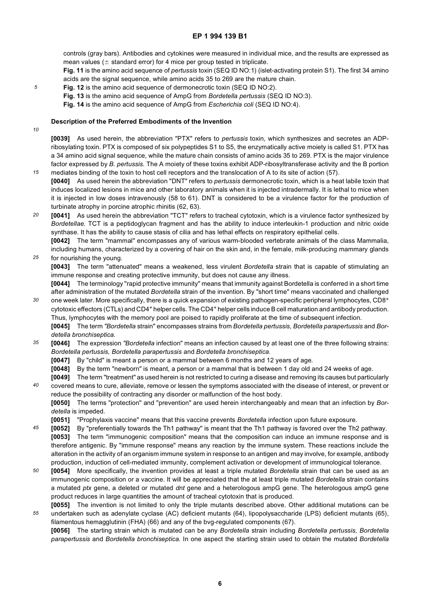controls (gray bars). Antibodies and cytokines were measured in individual mice, and the results are expressed as mean values ( $\pm$  standard error) for 4 mice per group tested in triplicate.

**Fig. 11** is the amino acid sequence of *pertussis* toxin (SEQ ID NO:1) (islet-activating protein S1). The first 34 amino acids are the signal sequence, while amino acids 35 to 269 are the mature chain.

- **Fig. 12** is the amino acid sequence of dermonecrotic toxin (SEQ ID NO:2).
	- **Fig. 13** is the amino acid sequence of AmpG from *Bordetella pertussis* (SEQ ID NO:3).

**Fig. 14** is the amino acid sequence of AmpG from *Escherichia coli* (SEQ ID NO:4).

#### **Description of the Preferred Embodiments of the Invention**

*10*

*15*

*25*

*30*

*5*

**[0039]** As used herein, the abbreviation "PTX" refers to *pertussis* toxin, which synthesizes and secretes an ADPribosylating toxin. PTX is composed of six polypeptides S1 to S5, the enzymatically active moiety is called S1. PTX has a 34 amino acid signal sequence, while the mature chain consists of amino acids 35 to 269. PTX is the major virulence factor expressed by *B. pertussis.* The A moiety of these toxins exhibit ADP-ribosyltransferase activity and the B portion mediates binding of the toxin to host cell receptors and the translocation of A to its site of action (57).

- **[0040]** As used herein the abbreviation "DNT" refers to *pertussis* dermonecrotic toxin, which is a heat labile toxin that induces localized lesions in mice and other laboratory animals when it is injected intradermally. It is lethal to mice when it is injected in low doses intravenously (58 to 61). DNT is considered to be a virulence factor for the production of turbinate atrophy in porcine atrophic rhinitis (62, 63).
- *20* **[0041]** As used herein the abbreviation "TCT" refers to tracheal cytotoxin, which is a virulence factor synthesized by *Bordetellae.* TCT is a peptidoglycan fragment and has the ability to induce interleukin-1 production and nitric oxide synthase. It has the ability to cause stasis of cilia and has lethal effects on respiratory epithelial cells.

**[0042]** The term "mammal" encompasses any of various warm-blooded vertebrate animals of the class Mammalia, including humans, characterized by a covering of hair on the skin and, in the female, milk-producing mammary glands for nourishing the young.

**[0043]** The term "attenuated" means a weakened, less virulent *Bordetella* strain that is capable of stimulating an immune response and creating protective immunity, but does not cause any illness.

**[0044]** The terminology "rapid protective immunity" means that immunity against Bordetella is conferred in a short time after administration of the mutated *Bordetella* strain of the invention. By "short time" means vaccinated and challenged one week later. More specifically, there is a quick expansion of existing pathogen-specific peripheral lymphocytes, CD8+ cytotoxic effectors (CTLs) and CD4+ helper cells. The CD4+ helper cells induce B cell maturation and antibody production.

Thus, lymphocytes with the memory pool are poised to rapidly proliferate at the time of subsequent infection.

**[0045]** The term *"Bordetella* strain" encompasses strains from *Bordetella pertussis, Bordetella parapertussis* and *Bordetella bronchiseptica.*

*35* **[0046]** The expression *"Bordetella* infection" means an infection caused by at least one of the three following strains: *Bordetella pertussis, Bordetella parapertussis* and *Bordetella bronchiseptica.*

- **[0047]** By "child" is meant a person or a mammal between 6 months and 12 years of age.
- **[0048]** By the term "newborn" is meant, a person or a mammal that is between 1 day old and 24 weeks of age.
- **[0049]** The term "treatment" as used herein is not restricted to curing a disease and removing its causes but particularly
- *40* covered means to cure, alleviate, remove or lessen the symptoms associated with the disease of interest, or prevent or reduce the possibility of contracting any disorder or malfunction of the host body. **[0050]** The terms "protection" and "prevention" are used herein interchangeably and mean that an infection by *Bordetella* is impeded.
	- **[0051]** "Prophylaxis vaccine" means that this vaccine prevents *Bordetella* infection upon future exposure.
- *45* **[0052]** By "preferentially towards the Th1 pathway" is meant that the Th1 pathway is favored over the Th2 pathway. **[0053]** The term "immunogenic composition" means that the composition can induce an immune response and is therefore antigenic. By "immune response" means any reaction by the immune system. These reactions include the alteration in the activity of an organism immune system in response to an antigen and may involve, for example, antibody production, induction of cell-mediated immunity, complement activation or development of immunological tolerance.
- *50* **[0054]** More specifically, the invention provides at least a triple mutated *Bordetella* strain that can be used as an immunogenic composition or a vaccine. It will be appreciated that the at least triple mutated *Bordetella* strain contains a mutated *ptx* gene, a deleted or mutated *dnt* gene and a heterologous ampG gene. The heterologous ampG gene product reduces in large quantities the amount of tracheal cytotoxin that is produced.
- *55* **[0055]** The invention is not limited to only the triple mutants described above. Other additional mutations can be undertaken such as adenylate cyclase (AC) deficient mutants (64), lipopolysaccharide (LPS) deficient mutants (65), filamentous hemagglutinin (FHA) (66) and any of the bvg-regulated components (67).

**[0056]** The starting strain which is mutated can be any *Bordetella* strain including *Bordetella pertussis, Bordetella parapertussis* and *Bordetella bronchiseptica.* In one aspect the starting strain used to obtain the mutated *Bordetella*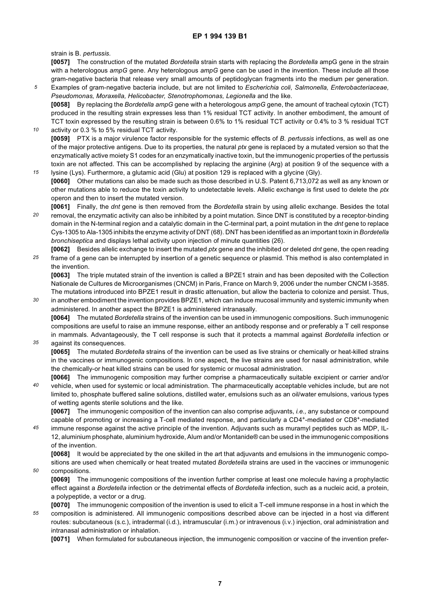strain is B. *pertussis.*

*35*

*50*

**[0057]** The construction of the mutated *Bordetella* strain starts with replacing the *Bordetella* ampG gene in the strain with a heterologous *ampG* gene. Any heterologous *ampG* gene can be used in the invention. These include all those gram-negative bacteria that release very small amounts of peptidoglycan fragments into the medium per generation.

- *5 10* Examples of gram-negative bacteria include, but are not limited to *Escherichia coli, Salmonella, Enterobacteriaceae, Pseudomonas, Moraxella, Helicobacter, Stenotrophomonas, Legionella* and the like. **[0058]** By replacing the *Bordetella ampG* gene with a heterologous *ampG* gene, the amount of tracheal cytoxin (TCT) produced in the resulting strain expresses less than 1% residual TCT activity. In another embodiment, the amount of TCT toxin expressed by the resulting strain is between 0.6% to 1% residual TCT activity or 0.4% to 3 % residual TCT
- activity or 0.3 % to 5% residual TCT activity. **[0059]** PTX is a major virulence factor responsible for the systemic effects of *B*. *pertussis* infections, as well as one of the major protective antigens. Due to its properties, the natural *ptx* gene is replaced by a mutated version so that the enzymatically active moiety S1 codes for an enzymatically inactive toxin, but the immunogenic properties of the pertussis toxin are not affected. This can be accomplished by replacing the arginine (Arg) at position 9 of the sequence with a
- *15* lysine (Lys). Furthermore, a glutamic acid (Glu) at position 129 is replaced with a glycine (Gly). **[0060]** Other mutations can also be made such as those described in U.S. Patent 6,713,072 as well as any known or other mutations able to reduce the toxin activity to undetectable levels. Allelic exchange is first used to delete the *ptx* operon and then to insert the mutated version.
- *20* **[0061]** Finally, the *dnt* gene is then removed from the *Bordetella* strain by using allelic exchange. Besides the total removal, the enzymatic activity can also be inhibited by a point mutation. Since DNT is constituted by a receptor-binding domain in the N-terminal region and a catalytic domain in the C-terminal part, a point mutation in the *dnt* gene to replace Cys-1305 to Ala-1305 inhibits the enzyme activity of DNT (68). DNT has been identified as an important toxin in *Bordetella bronchiseptica* and displays lethal activity upon injection of minute quantities (26).
- *25* **[0062]** Besides allelic exchange to insert the mutated *ptx* gene and the inhibited or deleted *dnt* gene, the open reading frame of a gene can be interrupted by insertion of a genetic sequence or plasmid. This method is also contemplated in the invention.

**[0063]** The triple mutated strain of the invention is called a BPZE1 strain and has been deposited with the Collection Nationale de Cultures de Microorganismes (CNCM) in Paris, France on March 9, 2006 under the number CNCM I-3585. The mutations introduced into BPZE1 result in drastic attenuation, but allow the bacteria to colonize and persist. Thus,

*30* in another embodiment the invention provides BPZE1, which can induce mucosal immunity and systemic immunity when administered. In another aspect the BPZE1 is administered intranasally.

**[0064]** The mutated *Bordetella* strains of the invention can be used in immunogenic compositions. Such immunogenic compositions are useful to raise an immune response, either an antibody response and or preferably a T cell response in mammals. Advantageously, the T cell response is such that it protects a mammal against *Bordetella* infection or against its consequences.

**[0065]** The mutated *Bordetella* strains of the invention can be used as live strains or chemically or heat-killed strains in the vaccines or immunogenic compositions. In one aspect, the live strains are used for nasal administration, while the chemically-or heat killed strains can be used for systemic or mucosal administration.

*40* **[0066]** The immunogenic composition may further comprise a pharmaceutically suitable excipient or carrier and/or vehicle, when used for systemic or local administration. The pharmaceutically acceptable vehicles include, but are not limited to, phosphate buffered saline solutions, distilled water, emulsions such as an oil/water emulsions, various types of wetting agents sterile solutions and the like.

**[0067]** The immunogenic composition of the invention can also comprise adjuvants, *i.e.,* any substance or compound capable of promoting or increasing a T-cell mediated response, and particularly a CD4+-mediated or CD8+-mediated

*45* immune response against the active principle of the invention. Adjuvants such as muramyl peptides such as MDP, IL-12, aluminium phosphate, aluminium hydroxide, Alum and/or Montanide® can be used in the immunogenic compositions of the invention.

**[0068]** It would be appreciated by the one skilled in the art that adjuvants and emulsions in the immunogenic compositions are used when chemically or heat treated mutated *Bordetella* strains are used in the vaccines or immunogenic compositions.

**[0069]** The immunogenic compositions of the invention further comprise at least one molecule having a prophylactic effect against a *Bordetella* infection or the detrimental effects of *Bordetella* infection, such as a nucleic acid, a protein, a polypeptide, a vector or a drug.

*55* **[0070]** The immunogenic composition of the invention is used to elicit a T-cell immune response in a host in which the composition is administered. All immunogenic compositions described above can be injected in a host via different routes: subcutaneous (s.c.), intradermal (i.d.), intramuscular (i.m.) or intravenous (i.v.) injection, oral administration and intranasal administration or inhalation.

**[0071]** When formulated for subcutaneous injection, the immunogenic composition or vaccine of the invention prefer-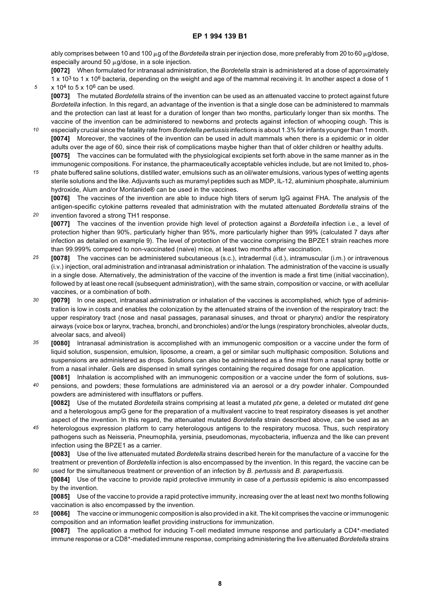ably comprises between 10 and 100 µg of the *Bordetella* strain per injection dose, more preferably from 20 to 60 µg/dose, especially around 50  $\mu$ g/dose, in a sole injection.

**[0072]** When formulated for intranasal administration, the *Bordetella* strain is administered at a dose of approximately

- 1 x 10<sup>3</sup> to 1 x 10<sup>6</sup> bacteria, depending on the weight and age of the mammal receiving it. In another aspect a dose of 1 x 10<sup>4</sup> to 5 x 10<sup>6</sup> can be used.
- **[0073]** The mutated *Bordetella* strains of the invention can be used as an attenuated vaccine to protect against future *Bordetella* infection. In this regard, an advantage of the invention is that a single dose can be administered to mammals and the protection can last at least for a duration of longer than two months, particularly longer than six months. The vaccine of the invention can be administered to newborns and protects against infection of whooping cough. This is

*5*

*20*

*50*

- *10* especially crucial since the fatality rate from *Bordetella pertussis* infections is about 1.3% for infants younger than 1 month. **[0074]** Moreover, the vaccines of the invention can be used in adult mammals when there is a epidemic or in older adults over the age of 60, since their risk of complications maybe higher than that of older children or healthy adults. **[0075]** The vaccines can be formulated with the physiological excipients set forth above in the same manner as in the immunogenic compositions. For instance, the pharmaceutically acceptable vehicles include, but are not limited to, phos-
- *15* phate buffered saline solutions, distilled water, emulsions such as an oil/water emulsions, various types of wetting agents sterile solutions and the like. Adjuvants such as muramyl peptides such as MDP, IL-12, aluminium phosphate, aluminium hydroxide, Alum and/or Montanide® can be used in the vaccines.

**[0076]** The vaccines of the invention are able to induce high titers of serum IgG against FHA. The analysis of the antigen-specific cytokine patterns revealed that administration with the mutated attenuated *Bordetella* strains of the invention favored a strong TH1 response.

**[0077]** The vaccines of the invention provide high level of protection against a *Bordetella* infection i.e., a level of protection higher than 90%, particularly higher than 95%, more particularly higher than 99% (calculated 7 days after infection as detailed on example 9). The level of protection of the vaccine comprising the BPZE1 strain reaches more than 99.999% compared to non-vaccinated (naive) mice, at least two months after vaccination.

- *25* **[0078]** The vaccines can be administered subcutaneous (s.c.), intradermal (i.d.), intramuscular (i.m.) or intravenous (i.v.) injection, oral administration and intranasal administration or inhalation. The administration of the vaccine is usually in a single dose. Alternatively, the administration of the vaccine of the invention is made a first time (initial vaccination), followed by at least one recall (subsequent administration), with the same strain, composition or vaccine, or with acellular vaccines, or a combination of both.
- *30* **[0079]** In one aspect, intranasal administration or inhalation of the vaccines is accomplished, which type of administration is low in costs and enables the colonization by the attenuated strains of the invention of the respiratory tract: the upper respiratory tract (nose and nasal passages, paranasal sinuses, and throat or pharynx) and/or the respiratory airways (voice box or larynx, trachea, bronchi, and bronchioles) and/or the lungs (respiratory bronchioles, alveolar ducts, alveolar sacs, and alveoli)
- *35* **[0080]** Intranasal administration is accomplished with an immunogenic composition or a vaccine under the form of liquid solution, suspension, emulsion, liposome, a cream, a gel or similar such multiphasic composition. Solutions and suspensions are administered as drops. Solutions can also be administered as a fine mist from a nasal spray bottle or from a nasal inhaler. Gels are dispensed in small syringes containing the required dosage for one application.
- *40* **[0081]** Inhalation is accomplished with an immunogenic composition or a vaccine under the form of solutions, suspensions, and powders; these formulations are administered via an aerosol or a dry powder inhaler. Compounded powders are administered with insufflators or puffers.

**[0082]** Use of the mutated *Bordetella* strains comprising at least a mutated *ptx* gene, a deleted or mutated *dnt* gene and a heterologous ampG gene for the preparation of a multivalent vaccine to treat respiratory diseases is yet another aspect of the invention. In this regard, the attenuated mutated *Bordetella* strain described above, can be used as an

*45* heterologous expression platform to carry heterologous antigens to the respiratory mucosa. Thus, such respiratory pathogens such as Neisseria, Pneumophila, yersinia, pseudomonas, mycobacteria, influenza and the like can prevent infection using the BPZE1 as a carrier.

**[0083]** Use of the live attenuated mutated *Bordetella* strains described herein for the manufacture of a vaccine for the treatment or prevention of *Bordetella* infection is also encompassed by the invention. In this regard, the vaccine can be used for the simultaneous treatment or prevention of an infection by *B. pertussis* and *B. parapertussis.*

**[0084]** Use of the vaccine to provide rapid protective immunity in case of a *pertussis* epidemic is also encompassed by the invention.

**[0085]** Use of the vaccine to provide a rapid protective immunity, increasing over the at least next two months following vaccination is also encompassed by the invention.

*55* **[0086]** The vaccine or immunogenic composition is also provided in a kit. The kit comprises the vaccine or immunogenic composition and an information leaflet providing instructions for immunization.

**[0087]** The application a method for inducing T-cell mediated immune response and particularly a CD4+-mediated immune response or a CD8+-mediated immune response, comprising administering the live attenuated *Bordetella* strains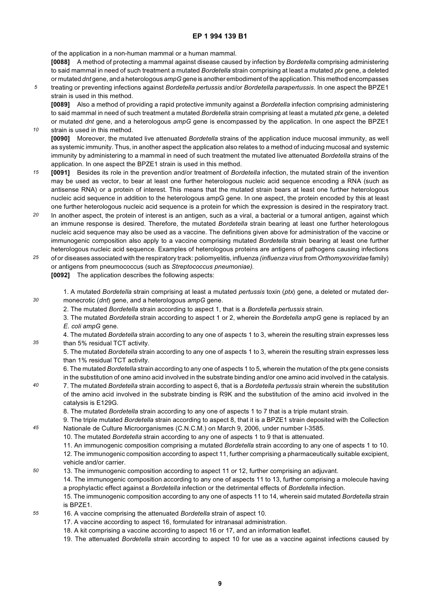of the application in a non-human mammal or a human mammal.

*10*

*30*

*35*

*45*

**[0088]** A method of protecting a mammal against disease caused by infection by *Bordetella* comprising administering to said mammal in need of such treatment a mutated *Bordetella* strain comprising at least a mutated *ptx* gene, a deleted or mutated *dnt* gene, and a heterologous *ampG* gene is another embodiment of the application. This method encompasses

*5* treating or preventing infections against *Bordetella pertussis* and/or *Bordetella parapertussis.* In one aspect the BPZE1 strain is used in this method.

**[0089]** Also a method of providing a rapid protective immunity against a *Bordetella* infection comprising administering to said mammal in need of such treatment a mutated *Bordetella* strain comprising at least a mutated *ptx* gene, a deleted or mutated *dnt* gene, and a heterologous *ampG* gene is encompassed by the application. In one aspect the BPZE1 strain is used in this method.

- **[0090]** Moreover, the mutated live attenuated *Bordetella* strains of the application induce mucosal immunity, as well as systemic immunity. Thus, in another aspect the application also relates to a method of inducing mucosal and systemic immunity by administering to a mammal in need of such treatment the mutated live attenuated *Bordetella* strains of the application. In one aspect the BPZE1 strain is used in this method.
- *15* **[0091]** Besides its role in the prevention and/or treatment of *Bordetella* infection, the mutated strain of the invention may be used as vector, to bear at least one further heterologous nucleic acid sequence encoding a RNA (such as antisense RNA) or a protein of interest. This means that the mutated strain bears at least one further heterologous nucleic acid sequence in addition to the heterologous ampG gene. In one aspect, the protein encoded by this at least one further heterologous nucleic acid sequence is a protein for which the expression is desired in the respiratory tract.
- *20* In another aspect, the protein of interest is an antigen, such as a viral, a bacterial or a tumoral antigen, against which an immune response is desired. Therefore, the mutated *Bordetella* strain bearing at least one further heterologous nucleic acid sequence may also be used as a vaccine. The definitions given above for administration of the vaccine or immunogenic composition also apply to a vaccine comprising mutated *Bordetella* strain bearing at least one further heterologous nucleic acid sequence. Examples of heterologous proteins are antigens of pathogens causing infections
- *25* of or diseases associated with the respiratory track: poliomyelitis, influenza *(influenza virus* from *Orthomyxoviridae* family) or antigens from pneumococcus (such as *Streptococcus pneumoniae).* **[0092]** The application describes the following aspects:
	- 1. A mutated *Bordetella* strain comprising at least a mutated *pertussis* toxin (*ptx*) gene, a deleted or mutated dermonecrotic (*dnt*) gene, and a heterologous *ampG* gene.
		- 2. The mutated *Bordetella* strain according to aspect 1, that is a *Bordetella pertussis* strain.
		- 3. The mutated *Bordetella* strain according to aspect 1 or 2, wherein the *Bordetella ampG* gene is replaced by an *E. coli ampG* gene.
		- 4. The mutated *Bordetella* strain according to any one of aspects 1 to 3, wherein the resulting strain expresses less than 5% residual TCT activity.
			- 5. The mutated *Bordetella* strain according to any one of aspects 1 to 3, wherein the resulting strain expresses less than 1% residual TCT activity.
			- 6. The mutated *Bordetella* strain according to any one of aspects 1 to 5, wherein the mutation of the ptx gene consists in the substitution of one amino acid involved in the substrate binding and/or one amino acid involved in the catalysis.
- *40* 7. The mutated *Bordetella* strain according to aspect 6, that is a *Bordetella pertussis* strain wherein the substitution of the amino acid involved in the substrate binding is R9K and the substitution of the amino acid involved in the catalysis is E129G.
	- 8. The mutated *Bordetella* strain according to any one of aspects 1 to 7 that is a triple mutant strain.
	- 9. The triple mutated *Bordetella* strain according to aspect 8, that it is a BPZE1 strain deposited with the Collection Nationale de Culture Microorganismes (C.N.C.M.) on March 9, 2006, under number I-3585.
		- 10. The mutated *Bordetella* strain according to any one of aspects 1 to 9 that is attenuated.
			- 11. An immunogenic composition comprising a mutated *Bordetella* strain according to any one of aspects 1 to 10.

12. The immunogenic composition according to aspect 11, further comprising a pharmaceutically suitable excipient, vehicle and/or carrier.

- *50* 13. The immunogenic composition according to aspect 11 or 12, further comprising an adjuvant. 14. The immunogenic composition according to any one of aspects 11 to 13, further comprising a molecule having a prophylactic effect against a *Bordetella* infection or the detrimental effects of *Bordetella* infection.
	- 15. The immunogenic composition according to any one of aspects 11 to 14, wherein said mutated *Bordetella* strain is BPZE1.
- *55* 16. A vaccine comprising the attenuated *Bordetella* strain of aspect 10.
	- 17. A vaccine according to aspect 16, formulated for intranasal administration.
	- 18. A kit comprising a vaccine according to aspect 16 or 17, and an information leaflet.
	- 19. The attenuated *Bordetella* strain according to aspect 10 for use as a vaccine against infections caused by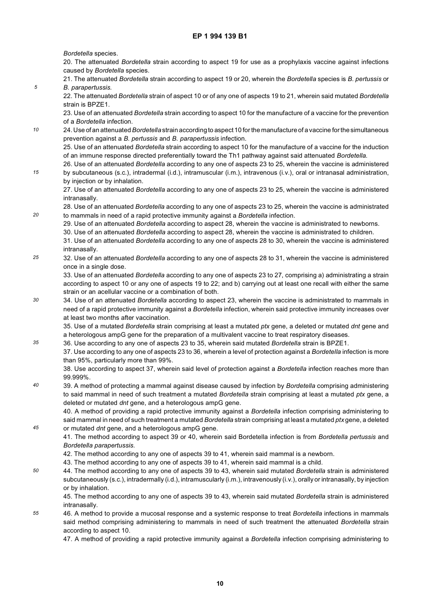*Bordetella* species.

*5*

*15*

*20*

*35*

*45*

20. The attenuated *Bordetella* strain according to aspect 19 for use as a prophylaxis vaccine against infections caused by *Bordetella* species.

21. The attenuated *Bordetella* strain according to aspect 19 or 20, wherein the *Bordetella* species is *B. pertussis* or *B. parapertussis.*

22. The attenuated *Bordetella* strain of aspect 10 or of any one of aspects 19 to 21, wherein said mutated *Bordetella* strain is BPZE1.

23. Use of an attenuated *Bordetella* strain according to aspect 10 for the manufacture of a vaccine for the prevention of a *Bordetella* infection.

*10* 24. Use of an attenuated *Bordetella* strain according to aspect 10 for the manufacture of a vaccine for the simultaneous prevention against a *B. pertussis* and *B. parapertussis* infection.

25. Use of an attenuated *Bordetella* strain according to aspect 10 for the manufacture of a vaccine for the induction of an immune response directed preferentially toward the Th1 pathway against said attenuated *Bordetella.*

26. Use of an attenuated *Bordetella* according to any one of aspects 23 to 25, wherein the vaccine is administered by subcutaneous (s.c.), intradermal (i.d.), intramuscular (i.m.), intravenous (i.v.), oral or intranasal administration, by injection or by inhalation.

27. Use of an attenuated *Bordetella* according to any one of aspects 23 to 25, wherein the vaccine is administered intranasally.

28. Use of an attenuated *Bordetella* according to any one of aspects 23 to 25, wherein the vaccine is administrated to mammals in need of a rapid protective immunity against a *Bordetella* infection.

29. Use of an attenuated *Bordetella* according to aspect 28, wherein the vaccine is administrated to newborns.

30. Use of an attenuated *Bordetella* according to aspect 28, wherein the vaccine is administrated to children.

- 31. Use of an attenuated *Bordetella* according to any one of aspects 28 to 30, wherein the vaccine is administered intranasally.
- *25* 32. Use of an attenuated *Bordetella* according to any one of aspects 28 to 31, wherein the vaccine is administered once in a single dose.

33. Use of an attenuated *Bordetella* according to any one of aspects 23 to 27, comprising a) administrating a strain according to aspect 10 or any one of aspects 19 to 22; and b) carrying out at least one recall with either the same strain or an acellular vaccine or a combination of both.

*30* 34. Use of an attenuated *Bordetella* according to aspect 23, wherein the vaccine is administrated to mammals in need of a rapid protective immunity against a *Bordetella* infection, wherein said protective immunity increases over at least two months after vaccination.

35. Use of a mutated *Bordetella* strain comprising at least a mutated *ptx* gene, a deleted or mutated *dnt* gene and a heterologous ampG gene for the preparation of a multivalent vaccine to treat respiratory diseases.

36. Use according to any one of aspects 23 to 35, wherein said mutated *Bordetella* strain is BPZE1.

37. Use according to any one of aspects 23 to 36, wherein a level of protection against a *Bordetella* infection is more than 95%, particularly more than 99%.

38. Use according to aspect 37, wherein said level of protection against a *Bordetella* infection reaches more than 99.999%.

*40* 39. A method of protecting a mammal against disease caused by infection by *Bordetella* comprising administering to said mammal in need of such treatment a mutated *Bordetella* strain comprising at least a mutated *ptx* gene, a deleted or mutated *dnt* gene, and a heterologous ampG gene.

40. A method of providing a rapid protective immunity against a *Bordetella* infection comprising administering to said mammal in need of such treatment a mutated *Bordetella* strain comprising at least a mutated *ptx* gene, a deleted or mutated *dnt* gene, and a heterologous ampG gene.

41. The method according to aspect 39 or 40, wherein said Bordetella infection is from *Bordetella pertussis* and *Bordetella parapertussis.*

- 42. The method according to any one of aspects 39 to 41, wherein said mammal is a newborn.
- 43. The method according to any one of aspects 39 to 41, wherein said mammal is a child.
- *50* 44. The method according to any one of aspects 39 to 43, wherein said mutated *Bordetella* strain is administered subcutaneously (s.c.), intradermally (i.d.), intramuscularly (i.m.), intravenously (i.v.), orally or intranasally, by injection or by inhalation.

45. The method according to any one of aspects 39 to 43, wherein said mutated *Bordetella* strain is administered intranasally.

*55* 46. A method to provide a mucosal response and a systemic response to treat *Bordetella* infections in mammals said method comprising administering to mammals in need of such treatment the attenuated *Bordetella* strain according to aspect 10.

47. A method of providing a rapid protective immunity against a *Bordetella* infection comprising administering to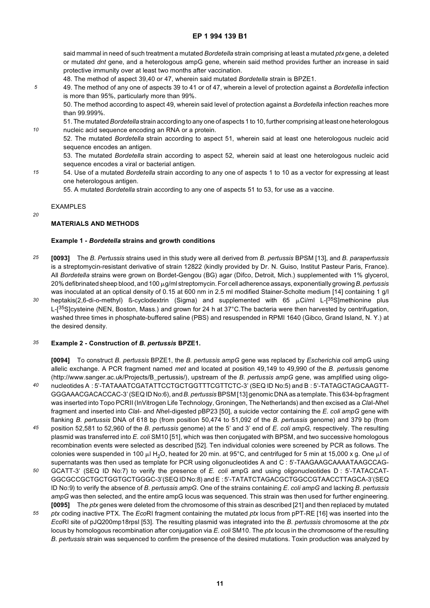said mammal in need of such treatment a mutated *Bordetella* strain comprising at least a mutated *ptx* gene, a deleted or mutated *dnt* gene, and a heterologous ampG gene, wherein said method provides further an increase in said protective immunity over at least two months after vaccination.

- 48. The method of aspect 39,40 or 47, wherein said mutated *Bordetella* strain is BPZE1.
- 49. The method of any one of aspects 39 to 41 or of 47, wherein a level of protection against a *Bordetella* infection is more than 95%, particularly more than 99%.

50. The method according to aspect 49, wherein said level of protection against a *Bordetella* infection reaches more than 99.999%.

51. The mutated *Bordetella* strain according to any one of aspects 1 to 10, further comprising at least one heterologous nucleic acid sequence encoding an RNA or a protein.

52. The mutated *Bordetella* strain according to aspect 51, wherein said at least one heterologous nucleic acid sequence encodes an antigen.

53. The mutated *Bordetella* strain according to aspect 52, wherein said at least one heterologous nucleic acid sequence encodes a viral or bacterial antigen.

54. Use of a mutated *Bordetella* strain according to any one of aspects 1 to 10 as a vector for expressing at least one heterologous antigen.

55. A mutated *Bordetella* strain according to any one of aspects 51 to 53, for use as a vaccine.

#### EXAMPLES

*5*

*10*

*15*

*20*

#### **MATERIALS AND METHODS**

#### **Example 1 -** *Bordetella* **strains and growth conditions**

- *25* **[0093]** The *B. Pertussis* strains used in this study were all derived from *B. pertussis* BPSM [13], and *B. parapertussis* is a streptomycin-resistant derivative of strain 12822 (kindly provided by Dr. N. Guiso, Institut Pasteur Paris, France). All *Bordetella* strains were grown on Bordet-Gengou (BG) agar (Difco, Detroit, Mich.) supplemented with 1% glycerol, 20% defibrinated sheep blood, and 100 μg/ml streptomycin. For cell adherence assays, exponentially growing *B. pertussis* was inoculated at an optical density of 0.15 at 600 nm in 2.5 ml modified Stainer-Scholte medium [14] containing 1 g/l
- *30* heptakis(2,6-di-o-methyl) ß-cyclodextrin (Sigma) and supplemented with 65  $\mu$ Ci/ml L-[<sup>35</sup>S]methionine plus L-[<sup>35</sup>S]cysteine (NEN, Boston, Mass.) and grown for 24 h at 37°C. The bacteria were then harvested by centrifugation, washed three times in phosphate-buffered saline (PBS) and resuspended in RPMI 1640 (Gibco, Grand Island, N. Y.) at the desired density.

#### *35* **Example 2 - Construction of** *B. pertussis* **BPZE1.**

**[0094]** To construct *B. pertussis* BPZE1, the *B. pertussis ampG* gene was replaced by *Escherichia coli* ampG using allelic exchange. A PCR fragment named *met* and located at position 49,149 to 49,990 of the *B. pertussis* genome (http://www.sanger.ac.uk/Projects/B\_pertussis/), upstream of the *B. pertussis ampG* gene, was amplified using oligo-

- *40* nucleotides A : 5'-TATAAATCGATATTCCTGCTGGTTTCGTTCTC-3' (SEQ ID No:5) and B : 5'-TATAGCTAGCAAGTT-GGGAAACGACACCAC-3' (SEQ ID No:6), and *B*. *pertussis* BPSM [13] genomic DNA as a template. This 634-bp fragment was inserted into Topo PCRII (InVitrogen Life Technology, Groningen, The Netherlands) and then excised as a *Cla*I*-Nhe*I fragment and inserted into *Cla*I- and *Nhe*I-digested pBP23 [50], a suicide vector containing the *E. coli ampG* gene with flanking *B. pertussis* DNA of 618 bp (from position 50,474 to 51,092 of the *B. pertussis* genome) and 379 bp (from
- *45* position 52,581 to 52,960 of the *B. pertussis* genome) at the 5' and 3' end of *E. coli ampG,* respectively. The resulting plasmid was transferred into *E. coli* SM10 [51], which was then conjugated with BPSM, and two successive homologous recombination events were selected as described [52]. Ten individual colonies were screened by PCR as follows. The colonies were suspended in 100  $\mu$ l H<sub>2</sub>O, heated for 20 min. at 95°C, and centrifuged for 5 min at 15,000 x g. One  $\mu$ l of supernatants was then used as template for PCR using oligonucleotides A and C: 5'-TAAGAAGCAAAATAAGCCAG-
- *50* GCATT-3' (SEQ ID No:7) to verify the presence of *E. coli* ampG and using oligonucleotides D : 5'-TATACCAT-GGCGCCGCTGCTGGTGCTGGGC-3'(SEQ ID No:8) and E : 5'-TATATCTAGACGCTGGCCGTAACCTTAGCA-3'(SEQ ID No:9) to verify the absence of *B. pertussis ampG.* One of the strains containing *E*. *coli ampG* and lacking *B. pertussis ampG* was then selected, and the entire ampG locus was sequenced. This strain was then used for further engineering. **[0095]** The *ptx* genes were deleted from the chromosome of this strain as described [21] and then replaced by mutated
- *55 ptx* coding inactive PTX. The *Eco*RI fragment containing the mutated *ptx* locus from pPT-RE [16] was inserted into the *Eco*RI site of pJQ200mp18rpsl [53]. The resulting plasmid was integrated into the *B. pertussis* chromosome at the *ptx* locus by homologous recombination after conjugation via *E*. *coli* SM10. The *ptx* locus in the chromosome of the resulting *B. pertussis* strain was sequenced to confirm the presence of the desired mutations. Toxin production was analyzed by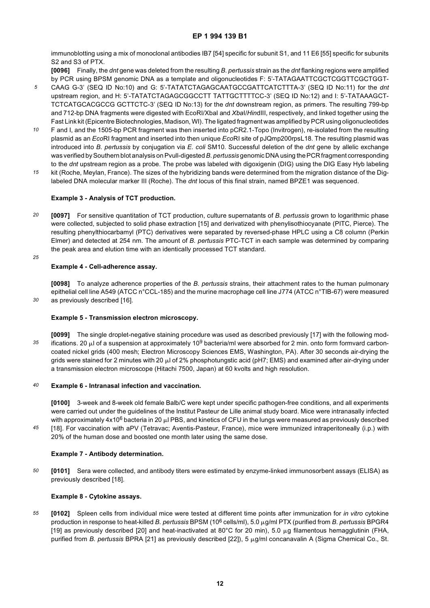immunoblotting using a mix of monoclonal antibodies IB7 [54] specific for subunit S1, and 11 E6 [55] specific for subunits S2 and S3 of PTX.

**[0096]** Finally, the *dnt* gene was deleted from the resulting *B. pertussis* strain as the *dnt* flanking regions were amplified by PCR using BPSM genomic DNA as a template and oligonucleotides F: 5'-TATAGAATTCGCTCGGTTCGCTGGT-

- *5* CAAG G-3' (SEQ ID No:10) and G: 5'-TATATCTAGAGCAATGCCGATTCATCTTTA-3' (SEQ ID No:11) for the *dnt* upstream region, and H: 5'-TATATCTAGAGCGGCCTT TATTGCTTTTCC-3' (SEQ ID No:12) and I: 5'-TATAAAGCT-TCTCATGCACGCCG GCTTCTC-3' (SEQ ID No:13) for the *dnt* downstream region, as primers. The resulting 799-bp and 712-bp DNA fragments were digested with EcoRI/XbaI and *Xba*I/*Hin*dIII, respectively, and linked together using the Fast Link kit (Epicentre Biotechnologies, Madison, WI). The ligated fragment was amplified by PCR using oligonucleotides
- *10* F and I, and the 1505-bp PCR fragment was then inserted into pCR2.1-Topo (Invitrogen), re-isolated from the resulting plasmid as an *Eco*RI fragment and inserted into then unique *Eco*RI site of pJQmp200rpsL18. The resulting plasmid was introduced into *B. pertussis* by conjugation via *E. coli* SM10. Successful deletion of the *dnt* gene by allelic exchange was verified by Southern blot analysis on Pvull-digested *B. pertussis* genomic DNA using the PCR fragment corresponding to the *dnt* upstream region as a probe. The probe was labeled with digoxigenin (DIG) using the DIG Easy Hyb labeling
- *15* kit (Roche, Meylan, France). The sizes of the hybridizing bands were determined from the migration distance of the Diglabeled DNA molecular marker III (Roche). The *dnt* locus of this final strain, named BPZE1 was sequenced.

#### **Example 3 - Analysis of TCT production.**

- *20* **[0097]** For sensitive quantitation of TCT production, culture supernatants of *B. pertussis* grown to logarithmic phase were collected, subjected to solid phase extraction [15] and derivatized with phenylisothiocyanate (PITC, Pierce). The resulting phenylthiocarbamyl (PTC) derivatives were separated by reversed-phase HPLC using a C8 column (Perkin Elmer) and detected at 254 nm. The amount of *B. pertussis* PTC-TCT in each sample was determined by comparing the peak area and elution time with an identically processed TCT standard.
- *25*

*30*

#### **Example 4 - Cell-adherence assay.**

**[0098]** To analyze adherence properties of the *B. pertussis* strains, their attachment rates to the human pulmonary epithelial cell line A549 (ATCC n°CCL-185) and the murine macrophage cell line J774 (ATCC n°TIB-67) were measured as previously described [16].

#### **Example 5 - Transmission electron microscopy.**

*35* **[0099]** The single droplet-negative staining procedure was used as described previously [17] with the following modifications. 20  $\mu$  of a suspension at approximately 10<sup>9</sup> bacteria/ml were absorbed for 2 min. onto form formvard carboncoated nickel grids (400 mesh; Electron Microscopy Sciences EMS, Washington, PA). After 30 seconds air-drying the grids were stained for 2 minutes with 20  $\mu$  of 2% phosphotungstic acid (pH7; EMS) and examined after air-drying under a transmission electron microscope (Hitachi 7500, Japan) at 60 kvolts and high resolution.

#### *40* **Example 6 - Intranasal infection and vaccination.**

**[0100]** 3-week and 8-week old female Balb/C were kept under specific pathogen-free conditions, and all experiments were carried out under the guidelines of the Institut Pasteur de Lille animal study board. Mice were intranasally infected with approximately  $4x10^6$  bacteria in 20  $\mu$  PBS, and kinetics of CFU in the lungs were measured as previously described [18]. For vaccination with aPV (Tetravac; Aventis-Pasteur, France), mice were immunized intraperitoneally (i.p.) with

*45* 20% of the human dose and boosted one month later using the same dose.

#### **Example 7 - Antibody determination.**

*50* **[0101]** Sera were collected, and antibody titers were estimated by enzyme-linked immunosorbent assays (ELISA) as previously described [18].

#### **Example 8 - Cytokine assays.**

*55* **[0102]** Spleen cells from individual mice were tested at different time points after immunization for *in vitro* cytokine production in response to heat-killed *B. pertussis* BPSM (106 cells/ml), 5.0 mg/ml PTX (purified from *B. pertussis* BPGR4 [19] as previously described [20] and heat-inactivated at 80 $^{\circ}$ C for 20 min), 5.0  $\mu$ g filamentous hemagglutinin (FHA, purified from *B. pertussis* BPRA [21] as previously described [22]), 5 μg/ml concanavalin A (Sigma Chemical Co., St.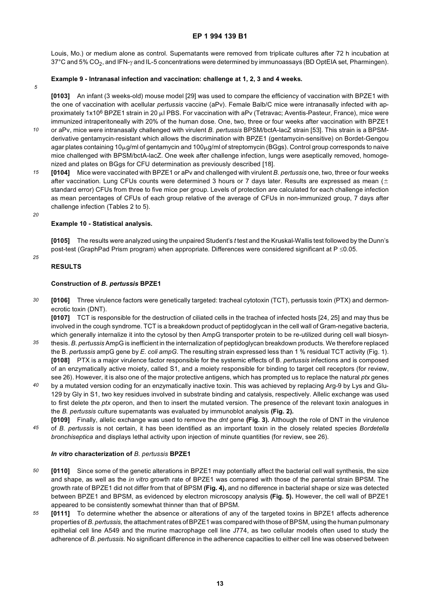Louis, Mo.) or medium alone as control. Supernatants were removed from triplicate cultures after 72 h incubation at 37°C and 5% CO<sub>2</sub>, and IFN- $\gamma$  and IL-5 concentrations were determined by immunoassays (BD OptEIA set, Pharmingen).

#### **Example 9 - Intranasal infection and vaccination: challenge at 1, 2, 3 and 4 weeks.**

*5*

**[0103]** An infant (3 weeks-old) mouse model [29] was used to compare the efficiency of vaccination with BPZE1 with the one of vaccination with acellular *pertussis* vaccine (aPv). Female Balb/C mice were intranasally infected with approximately 1x10<sup>6</sup> BPZE1 strain in 20  $\mu$  PBS. For vaccination with aPv (Tetravac; Aventis-Pasteur, France), mice were immunized intraperitoneally with 20% of the human dose. One, two, three or four weeks after vaccination with BPZE1

- *10* or aPv, mice were intranasally challenged with virulent *B. pertussis* BPSM/bctA-lacZ strain [53]. This strain is a BPSMderivative gentamycin-resistant which allows the discrimination with BPZE1 (gentamycin-sensitive) on Bordet-Gengou agar plates containing 10µg/ml of gentamycin and 100µg/ml of streptomycin (BGgs). Control group corresponds to naive mice challenged with BPSM/bctA-lacZ. One week after challenge infection, lungs were aseptically removed, homogenized and plates on BGgs for CFU determination as previously described [18].
- *15* **[0104]** Mice were vaccinated with BPZE1 or aPv and challenged with virulent *B. pertussis* one, two, three or four weeks after vaccination. Lung CFUs counts were determined 3 hours or 7 days later. Results are expressed as mean  $(±$ standard error) CFUs from three to five mice per group. Levels of protection are calculated for each challenge infection as mean percentages of CFUs of each group relative of the average of CFUs in non-immunized group, 7 days after challenge infection (Tables 2 to 5).
- *20*

*25*

#### **Example 10 - Statistical analysis.**

**[0105]** The results were analyzed using the unpaired Student's *t* test and the Kruskal-Wallis test followed by the Dunn's post-test (GraphPad Prism program) when appropriate. Differences were considered significant at P ≤0.05.

#### **RESULTS**

#### **Construction of** *B. pertussis* **BPZE1**

*30* **[0106]** Three virulence factors were genetically targeted: tracheal cytotoxin (TCT), pertussis toxin (PTX) and dermonecrotic toxin (DNT).

**[0107]** TCT is responsible for the destruction of ciliated cells in the trachea of infected hosts [24, 25] and may thus be involved in the cough syndrome. TCT is a breakdown product of peptidoglycan in the cell wall of Gram-negative bacteria, which generally internalize it into the cytosol by then AmpG transporter protein to be re-utilized during cell wall biosyn-

- *35* thesis. *B. pertussis* AmpG is inefficient in the internalization of peptidoglycan breakdown products. We therefore replaced the B. *pertussis* ampG gene by *E. coli ampG.* The resulting strain expressed less than 1 % residual TCT activity (Fig. 1). **[0108]** PTX is a major virulence factor responsible for the systemic effects of B. *pertussis* infections and is composed of an enzymatically active moiety, called S1, and a moiety responsible for binding to target cell receptors (for review, see 26). However, it is also one of the major protective antigens, which has prompted us to replace the natural *ptx* genes
- *40* by a mutated version coding for an enzymatically inactive toxin. This was achieved by replacing Arg-9 by Lys and Glu-129 by Gly in S1, two key residues involved in substrate binding and catalysis, respectively. Allelic exchange was used to first delete the *ptx* operon, and then to insert the mutated version. The presence of the relevant toxin analogues in the *B. pertussis* culture supernatants was evaluated by immunoblot analysis **(Fig. 2).**
- *45* **[0109]** Finally, allelic exchange was used to remove the *dnt* gene **(Fig. 3).** Although the role of DNT in the virulence of *B. pertussis* is not certain, it has been identified as an important toxin in the closely related species *Bordetella bronchiseptica* and displays lethal activity upon injection of minute quantities (for review, see 26).

#### *In vitro* **characterization of** *B. pertussis* **BPZE1**

- *50* **[0110]** Since some of the genetic alterations in BPZE1 may potentially affect the bacterial cell wall synthesis, the size and shape, as well as the *in vitro* growth rate of BPZE1 was compared with those of the parental strain BPSM. The growth rate of BPZE1 did not differ from that of BPSM **(Fig. 4),** and no difference in bacterial shape or size was detected between BPZE1 and BPSM, as evidenced by electron microscopy analysis **(Fig. 5).** However, the cell wall of BPZE1 appeared to be consistently somewhat thinner than that of BPSM.
- *55* **[0111]** To determine whether the absence or alterations of any of the targeted toxins in BPZE1 affects adherence properties of *B. pertussis,* the attachment rates of BPZE1 was compared with those of BPSM, using the human pulmonary epithelial cell line A549 and the murine macrophage cell line J774, as two cellular models often used to study the adherence of *B. pertussis.* No significant difference in the adherence capacities to either cell line was observed between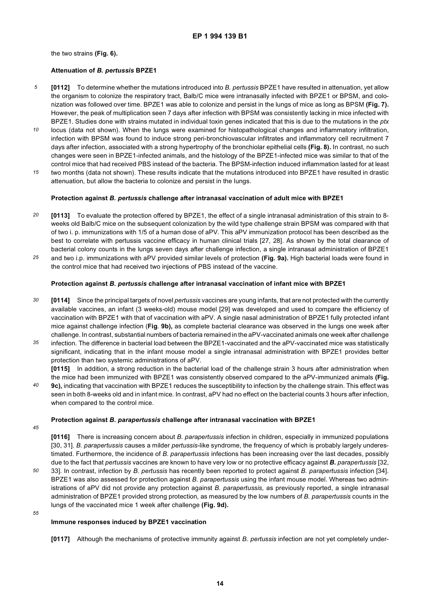the two strains **(Fig. 6).**

#### **Attenuation of** *B. pertussis* **BPZE1**

- *5* **[0112]** To determine whether the mutations introduced into *B. pertussis* BPZE1 have resulted in attenuation, yet allow the organism to colonize the respiratory tract, Balb/C mice were intranasally infected with BPZE1 or BPSM, and colonization was followed over time. BPZE1 was able to colonize and persist in the lungs of mice as long as BPSM **(Fig. 7).** However, the peak of multiplication seen 7 days after infection with BPSM was consistently lacking in mice infected with BPZE1. Studies done with strains mutated in individual toxin genes indicated that this is due to the mutations in the *ptx*
- *10* locus (data not shown). When the lungs were examined for histopathological changes and inflammatory infiltration, infection with BPSM was found to induce strong peri-bronchiovascular infiltrates and inflammatory cell recruitment 7 days after infection, associated with a strong hypertrophy of the bronchiolar epithelial cells **(Fig. 8).** In contrast, no such changes were seen in BPZE1-infected animals, and the histology of the BPZE1-infected mice was similar to that of the control mice that had received PBS instead of the bacteria. The BPSM-infection induced inflammation lasted for at least
- *15* two months (data not shown). These results indicate that the mutations introduced into BPZE1 have resulted in drastic attenuation, but allow the bacteria to colonize and persist in the lungs.

#### **Protection against** *B. pertussis* **challenge after intranasal vaccination of adult mice with BPZE1**

- *20* **[0113]** To evaluate the protection offered by BPZE1, the effect of a single intranasal administration of this strain to 8 weeks old Balb/C mice on the subsequent colonization by the wild type challenge strain BPSM was compared with that of two i. p. immunizations with 1/5 of a human dose of aPV. This aPV immunization protocol has been described as the best to correlate with pertussis vaccine efficacy in human clinical trials [27, 28]. As shown by the total clearance of bacterial colony counts in the lungs seven days after challenge infection, a single intranasal administration of BPZE1
- *25* and two i.p. immunizations with aPV provided similar levels of protection **(Fig. 9a).** High bacterial loads were found in the control mice that had received two injections of PBS instead of the vaccine.

#### **Protection against** *B. pertussis* **challenge after intranasal vaccination of infant mice with BPZE1**

- *30* **[0114]** Since the principal targets of novel *pertussis* vaccines are young infants, that are not protected with the currently available vaccines, an infant (3 weeks-old) mouse model [29] was developed and used to compare the efficiency of vaccination with BPZE1 with that of vaccination with aPV. A single nasal administration of BPZE1 fully protected infant mice against challenge infection (**Fig**. **9b),** as complete bacterial clearance was observed in the lungs one week after challenge. In contrast, substantial numbers of bacteria remained in the aPV-vaccinated animals one week after challenge
- *35* infection. The difference in bacterial load between the BPZE1-vaccinated and the aPV-vaccinated mice was statistically significant, indicating that in the infant mouse model a single intranasal administration with BPZE1 provides better protection than two systemic administrations of aPV.

**[0115]** In addition, a strong reduction in the bacterial load of the challenge strain 3 hours after administration when the mice had been immunized with BPZE1 was consistently observed compared to the aPV-immunized animals **(Fig.**

*40* **9c),** indicating that vaccination with BPZE1 reduces the susceptibility to infection by the challenge strain. This effect was seen in both 8-weeks old and in infant mice. In contrast, aPV had no effect on the bacterial counts 3 hours after infection, when compared to the control mice.

#### **Protection against** *B. parapertussis* **challenge after intranasal vaccination with BPZE1**

*45*

**[0116]** There is increasing concern about *B. parapertussis* infection in children, especially in immunized populations [30, 31]. *B. parapertussis* causes a milder *pertussis*-like syndrome, the frequency of which is probably largely underestimated. Furthermore, the incidence of *B. parapertussis* infections has been increasing over the last decades, possibly due to the fact that *pertussis* vaccines are known to have very low or no protective efficacy against *B. parapertussis* [32,

- *50* 33]. In contrast, infection by *B. pertussis* has recently been reported to protect against *B. parapertussis* infection [34]. BPZE1 was also assessed for protection against *B. parapertussis* using the infant mouse model. Whereas two administrations of aPV did not provide any protection against *B. parapertussis,* as previously reported, a single intranasal administration of BPZE1 provided strong protection, as measured by the low numbers of *B. parapertussis* counts in the lungs of the vaccinated mice 1 week after challenge **(Fig. 9d).**
- *55*

#### **Immune responses induced by BPZE1 vaccination**

**[0117]** Although the mechanisms of protective immunity against *B. pertussis* infection are not yet completely under-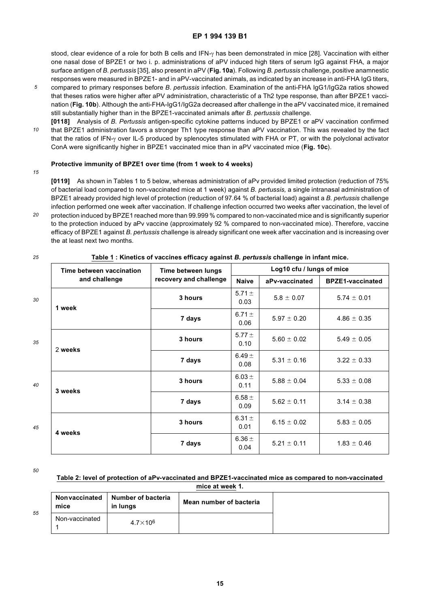stood, clear evidence of a role for both B cells and IFN-γ has been demonstrated in mice [28]. Vaccination with either one nasal dose of BPZE1 or two i. p. administrations of aPV induced high titers of serum IgG against FHA, a major surface antigen of *B. pertussis* [35], also present in aPV (**Fig. 10a**). Following *B. pertussis* challenge, positive anamnestic responses were measured in BPZE1- and in aPV-vaccinated animals, as indicated by an increase in anti-FHA IgG titers,

- *5* compared to primary responses before *B*. *pertussis* infection. Examination of the anti-FHA IgG1/IgG2a ratios showed that theses ratios were higher after aPV administration, characteristic of a Th2 type response, than after BPZE1 vaccination (**Fig. 10b**). Although the anti-FHA-IgG1/IgG2a decreased after challenge in the aPV vaccinated mice, it remained still substantially higher than in the BPZE1-vaccinated animals after *B. pertussis* challenge.
- *10* **[0118]** Analysis of *B. Pertussis* antigen-specific cytokine patterns induced by BPZE1 or aPV vaccination confirmed that BPZE1 administration favors a stronger Th1 type response than aPV vaccination. This was revealed by the fact that the ratios of IFN-γ over IL-5 produced by splenocytes stimulated with FHA or PT, or with the polyclonal activator ConA were significantly higher in BPZE1 vaccinated mice than in aPV vaccinated mice (**Fig. 10c**).

#### **Protective immunity of BPZE1 over time (from 1 week to 4 weeks)**

#### *15*

*25*

**[0119]** As shown in Tables 1 to 5 below, whereas administration of aPv provided limited protection (reduction of 75% of bacterial load compared to non-vaccinated mice at 1 week) against *B. pertussis,* a single intranasal administration of BPZE1 already provided high level of protection (reduction of 97.64 % of bacterial load) against a *B. pertussis* challenge infection performed one week after vaccination. If challenge infection occurred two weeks after vaccination, the level of

*20* protection induced by BPZE1 reached more than 99.999 % compared to non-vaccinated mice and is significantly superior to the protection induced by aPv vaccine (approximately 92 % compared to non-vaccinated mice). Therefore, vaccine efficacy of BPZE1 against *B. pertussis* challenge is already significant one week after vaccination and is increasing over the at least next two months.

|    | Time between vaccination | Time between lungs     | Log10 cfu / lungs of mice |                                    |                         |  |
|----|--------------------------|------------------------|---------------------------|------------------------------------|-------------------------|--|
|    | and challenge            | recovery and challenge | <b>Naive</b>              | aPv-vaccinated                     | <b>BPZE1-vaccinated</b> |  |
| 30 | 1 week                   | 3 hours                | 5.71 $\pm$<br>0.03        | $5.8 \pm 0.07$                     | $5.74 \pm 0.01$         |  |
|    |                          | 7 days                 | 6.71 $\pm$<br>0.06        | $5.97 \pm 0.20$                    | $4.86 \pm 0.35$         |  |
| 35 | 2 weeks                  | 3 hours                | 5.77 $\pm$<br>0.10        | $5.60 \pm 0.02$                    | $5.49 \pm 0.05$         |  |
|    |                          | 7 days                 | 6.49 $\pm$<br>0.08        | $5.31 \pm 0.16$<br>$3.22 \pm 0.33$ |                         |  |
| 40 | 3 weeks                  | 3 hours                | 6.03 $\pm$<br>0.11        | $5.88 \pm 0.04$                    | $5.33 \pm 0.08$         |  |
|    |                          | 7 days                 | $6.58 \pm$<br>0.09        | $5.62 \pm 0.11$                    | $3.14 \pm 0.38$         |  |
| 45 |                          | 3 hours                | 6.31 $\pm$<br>0.01        | $6.15 \pm 0.02$                    | $5.83 \pm 0.05$         |  |
|    | 4 weeks                  | 7 days                 | 6.36 $\pm$<br>0.04        | $5.21 \pm 0.11$                    | $1.83 \pm 0.46$         |  |

**Table 1 : Kinetics of vaccines efficacy against** *B. pertussis* **challenge in infant mice.**

*50*

*55*

| Table 2: level of protection of aPv-vaccinated and BPZE1-vaccinated mice as compared to non-vaccinated |
|--------------------------------------------------------------------------------------------------------|
| mice at week 1.                                                                                        |

| Nonvaccinated<br>mice | <b>Number of bacteria</b><br>in lungs | Mean number of bacteria |
|-----------------------|---------------------------------------|-------------------------|
| Non-vaccinated        | $4.7\times10^6$                       |                         |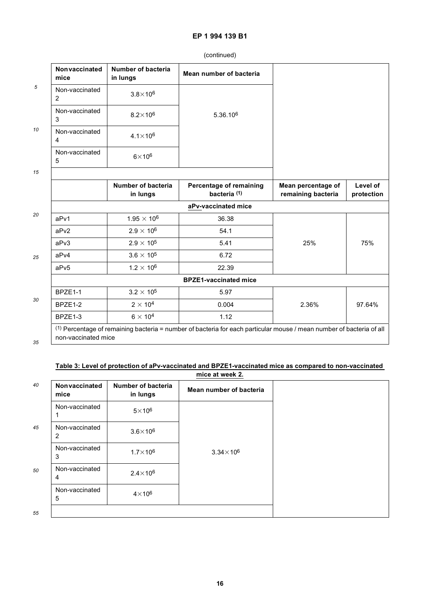| Nonvaccinated<br>mice            | <b>Number of bacteria</b><br>in lungs | Mean number of bacteria                            |                                          |                        |
|----------------------------------|---------------------------------------|----------------------------------------------------|------------------------------------------|------------------------|
| Non-vaccinated<br>$\overline{2}$ | $3.8\times10^6$                       |                                                    |                                          |                        |
| Non-vaccinated<br>3              | $8.2\times10^6$                       | 5.36.10 <sup>6</sup>                               |                                          |                        |
| Non-vaccinated<br>4              | $4.1 \times 10^{6}$                   |                                                    |                                          |                        |
| Non-vaccinated<br>5              | $6\times10^6$                         |                                                    |                                          |                        |
|                                  |                                       |                                                    |                                          |                        |
|                                  | Number of bacteria<br>in lungs        | Percentage of remaining<br>bacteria <sup>(1)</sup> | Mean percentage of<br>remaining bacteria | Level of<br>protection |
|                                  |                                       | aPv-vaccinated mice                                |                                          |                        |
| aPv1                             | $1.95 \times 10^{6}$                  | 36.38                                              |                                          |                        |
| aPv2                             | $2.9 \times 10^6$                     | 54.1                                               |                                          |                        |
|                                  | $2.9 \times 10^5$                     | 5.41                                               |                                          | 75%                    |
|                                  |                                       |                                                    | 25%                                      |                        |
|                                  | $3.6 \times 10^5$                     | 6.72                                               |                                          |                        |
|                                  | $1.2 \times 10^6$                     | 22.39                                              |                                          |                        |
|                                  |                                       | <b>BPZE1-vaccinated mice</b>                       |                                          |                        |
| aPv3<br>aPv4<br>aPv5<br>BPZE1-1  | $3.2 \times 10^5$                     | 5.97                                               |                                          |                        |
| BPZE1-2                          | $2 \times 10^4$                       | 0.004                                              | 2.36%                                    | 97.64%                 |

(continued)

#### **Table 3: Level of protection of aPv-vaccinated and BPZE1-vaccinated mice as compared to non-vaccinated mice at week 2.**

| 40 | Nonvaccinated<br>mice            | <b>Number of bacteria</b><br>in lungs | Mean number of bacteria |
|----|----------------------------------|---------------------------------------|-------------------------|
|    | Non-vaccinated                   | $5\times10^6$                         |                         |
| 45 | Non-vaccinated<br>2              | $3.6\times10^6$                       |                         |
|    | Non-vaccinated<br>3              | $1.7\times10^6$                       | $3.34\times10^6$        |
| 50 | Non-vaccinated<br>$\overline{4}$ | $2.4\times10^6$                       |                         |
|    | Non-vaccinated<br>5              | $4\times10^6$                         |                         |
| 55 |                                  |                                       |                         |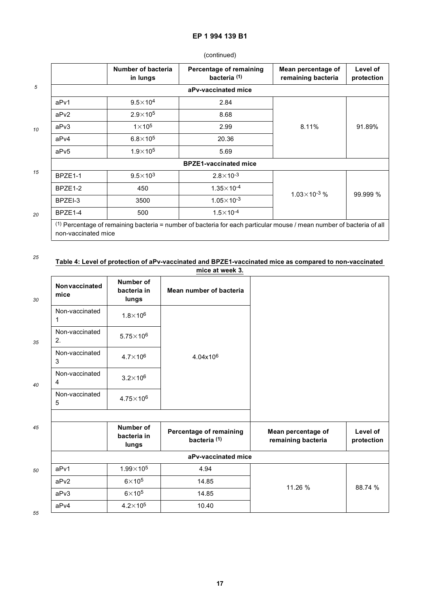### (continued)

|         | Number of bacteria<br>in lungs | Percentage of remaining<br>bacteria <sup>(1)</sup> | Mean percentage of<br>remaining bacteria | Level of<br>protection |
|---------|--------------------------------|----------------------------------------------------|------------------------------------------|------------------------|
|         |                                | aPv-vaccinated mice                                |                                          |                        |
| aPv1    | $9.5\times10^4$                | 2.84                                               |                                          |                        |
| aPv2    | $2.9 \times 10^{5}$            | 8.68                                               |                                          |                        |
| aPv3    | $1\times 10^5$                 | 2.99                                               | 8.11%                                    | 91.89%                 |
| aPv4    | $6.8\times10^{5}$              | 20.36                                              |                                          |                        |
| aPv5    | $1.9\times10^{5}$              | 5.69                                               |                                          |                        |
|         |                                | <b>BPZE1-vaccinated mice</b>                       |                                          |                        |
| BPZE1-1 | $9.5 \times 10^{3}$            | $2.8 \times 10^{-3}$                               |                                          |                        |
| BPZE1-2 | 450                            | $1.35\times10^{-4}$                                |                                          |                        |
| BPZEI-3 | 3500                           | $1.05 \times 10^{-3}$                              | $1.03\times10^{-3}$ %                    | 99.999 %               |
| BPZE1-4 | 500                            | $1.5 \times 10^{-4}$                               |                                          |                        |

#### *25* **Table 4: Level of protection of aPv-vaccinated and BPZE1-vaccinated mice as compared to non-vaccinated**

|    |                                  |                                   | mice at week 3.                                    |                                          |                        |
|----|----------------------------------|-----------------------------------|----------------------------------------------------|------------------------------------------|------------------------|
| 30 | Nonvaccinated<br>mice            | Number of<br>bacteria in<br>lungs | Mean number of bacteria                            |                                          |                        |
|    | Non-vaccinated<br>1              | $1.8\times10^{6}$                 |                                                    |                                          |                        |
| 35 | Non-vaccinated<br>2.             | $5.75 \times 10^6$                |                                                    |                                          |                        |
|    | Non-vaccinated<br>3              | $4.7\times10^6$                   | 4.04x10 <sup>6</sup>                               |                                          |                        |
| 40 | Non-vaccinated<br>$\overline{4}$ | $3.2\times10^6$                   |                                                    |                                          |                        |
|    | Non-vaccinated<br>5              | $4.75 \times 10^6$                |                                                    |                                          |                        |
| 45 |                                  | Number of<br>bacteria in<br>lungs | Percentage of remaining<br>bacteria <sup>(1)</sup> | Mean percentage of<br>remaining bacteria | Level of<br>protection |
|    |                                  |                                   | aPv-vaccinated mice                                |                                          |                        |
| 50 | aPv1                             | $1.99\times10^{5}$                | 4.94                                               |                                          |                        |
|    | aPv <sub>2</sub>                 | $6\times10^5$                     | 14.85                                              | 11.26 %                                  | 88.74 %                |
|    | aPv3                             | $6\times 10^5$                    | 14.85                                              |                                          |                        |
|    | aPv4                             | $4.2\times10^5$                   | 10.40                                              |                                          |                        |

*55*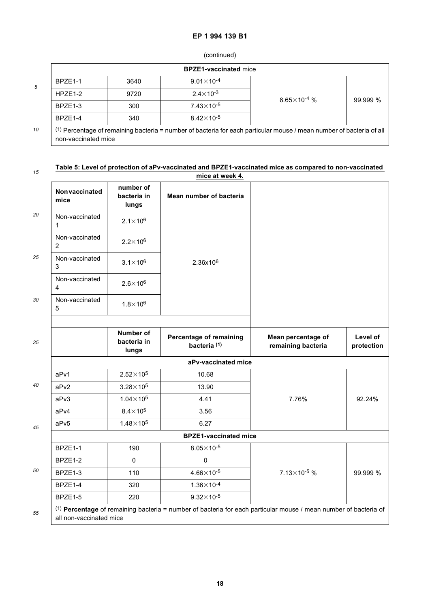### (continued)

|    |                     |      | <b>BPZE1-vaccinated mice</b> |                                                                                                                                 |          |
|----|---------------------|------|------------------------------|---------------------------------------------------------------------------------------------------------------------------------|----------|
| 5  | <b>BP7F1-1</b>      | 3640 | $9.01 \times 10^{-4}$        |                                                                                                                                 |          |
|    | HPZE <sub>1-2</sub> | 9720 | $2.4 \times 10^{-3}$         | $8.65 \times 10^{-4}$ %                                                                                                         |          |
|    | BPZE1-3             | 300  | $7.43 \times 10^{-5}$        |                                                                                                                                 | 99.999 % |
|    | BPZE <sub>1-4</sub> | 340  | $8.42 \times 10^{-5}$        |                                                                                                                                 |          |
| 10 | non-vaccinated mice |      |                              | <sup>(1)</sup> Percentage of remaining bacteria = number of bacteria for each particular mouse / mean number of bacteria of all |          |

#### *15* **Table 5: Level of protection of aPv-vaccinated and BPZE1-vaccinated mice as compared to non-vaccinated**

|                                                                |                                   | mice at week 4.                                    |                                          |                        |
|----------------------------------------------------------------|-----------------------------------|----------------------------------------------------|------------------------------------------|------------------------|
| Nonvaccinated<br>mice                                          | number of<br>bacteria in<br>lungs | Mean number of bacteria                            |                                          |                        |
| Non-vaccinated<br>1                                            | $2.1 \times 10^6$                 |                                                    |                                          |                        |
| Non-vaccinated<br>$\overline{2}$                               | $2.2\times10^6$                   |                                                    |                                          |                        |
| Non-vaccinated<br>$3.1\times10^6$<br>2.36x10 <sup>6</sup><br>3 |                                   |                                                    |                                          |                        |
| Non-vaccinated<br>4                                            | $2.6 \times 10^{6}$               |                                                    |                                          |                        |
| Non-vaccinated<br>5                                            | $1.8 \times 10^{6}$               |                                                    |                                          |                        |
|                                                                | Number of<br>bacteria in<br>lungs | Percentage of remaining<br>bacteria <sup>(1)</sup> | Mean percentage of<br>remaining bacteria | Level of<br>protection |
|                                                                |                                   | aPv-vaccinated mice                                |                                          |                        |
| aPv1                                                           | $2.52\times10^{5}$                | 10.68                                              |                                          |                        |
| aPv2                                                           | $3.28\times10^5$                  | 13.90                                              |                                          |                        |
| aPv3                                                           | $1.04\times10^{5}$                | 4.41                                               | 7.76%                                    | 92.24%                 |
| aPv4                                                           | $8.4\times10^5$                   | 3.56                                               |                                          |                        |
| aPv5                                                           | $1.48\times10^{5}$                | 6.27                                               |                                          |                        |
|                                                                |                                   | <b>BPZE1-vaccinated mice</b>                       |                                          |                        |
| BPZE1-1                                                        | 190                               | $8.05\times10^{-5}$                                |                                          |                        |
| BPZE1-2                                                        | $\pmb{0}$                         | $\mathbf 0$                                        |                                          |                        |
| BPZE1-3                                                        | 110                               | $4.66 \times 10^{-5}$                              | $7.13 \times 10^{-5}$ %                  | 99.999 %               |
|                                                                |                                   |                                                    |                                          |                        |
| BPZE1-4                                                        | 320                               | $1.36 \times 10^{-4}$                              |                                          |                        |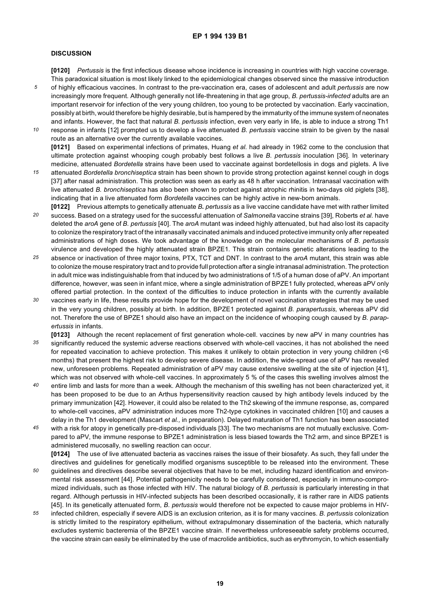#### **DISCUSSION**

**[0120]** *Pertussis* is the first infectious disease whose incidence is increasing in countries with high vaccine coverage. This paradoxical situation is most likely linked to the epidemiological changes observed since the massive introduction

- *5* of highly efficacious vaccines. In contrast to the pre-vaccination era, cases of adolescent and adult *pertussis* are now increasingly more frequent. Although generally not life-threatening in that age group, *B. pertussis-infected* adults are an important reservoir for infection of the very young children, too young to be protected by vaccination. Early vaccination, possibly at birth, would therefore be highly desirable, but is hampered by the immaturity of the immune system of neonates and infants. However, the fact that natural *B. pertussis* infection, even very early in life, is able to induce a strong Th1
- *10* response in infants [12] prompted us to develop a live attenuated *B. pertussis* vaccine strain to be given by the nasal route as an alternative over the currently available vaccines. **[0121]** Based on experimental infections of primates, Huang *et al.* had already in 1962 come to the conclusion that ultimate protection against whooping cough probably best follows a live *B. pertussis* inoculation [36]. In veterinary
- *15* medicine, attenuated *Bordetella* strains have been used to vaccinate against bordetellosis in dogs and piglets. A live attenuated *Bordetella bronchiseptica* strain has been shown to provide strong protection against kennel cough in dogs [37] after nasal administration. This protection was seen as early as 48 h after vaccination. Intranasal vaccination with live attenuated *B. bronchiseptica* has also been shown to protect against atrophic rhinitis in two-days old piglets [38], indicating that in a live attenuated form *Bordetella* vaccines can be highly active in new-bom animals.
- *20* **[0122]** Previous attempts to genetically attenuate *B. pertussis* as a live vaccine candidate have met with rather limited success. Based on a strategy used for the successful attenuation of *Salmonella* vaccine strains [39], Roberts *et al.* have deleted the *aroA* gene of *B. pertussis* [40]. The *aroA* mutant was indeed highly attenuated, but had also lost its capacity to colonize the respiratory tract of the intranasally vaccinated animals and induced protective immunity only after repeated administrations of high doses. We took advantage of the knowledge on the molecular mechanisms of *B*. *pertussis* virulence and developed the highly attenuated strain BPZE1. This strain contains genetic alterations leading to the
- *25* absence or inactivation of three major toxins, PTX, TCT and DNT. In contrast to the *aroA* mutant, this strain was able to colonize the mouse respiratory tract and to provide full protection after a single intranasal administration. The protection in adult mice was indistinguishable from that induced by two administrations of 1/5 of a human dose of aPV. An important difference, however, was seen in infant mice, where a single administration of BPZE1 fully protected, whereas aPV only offered partial protection. In the context of the difficulties to induce protection in infants with the currently available
- *30* vaccines early in life, these results provide hope for the development of novel vaccination strategies that may be used in the very young children, possibly at birth. In addition, BPZE1 protected against *B. parapertussis,* whereas aPV did not. Therefore the use of BPZE1 should also have an impact on the incidence of whooping cough caused by *B. parapertussis* in infants.
- *35* **[0123]** Although the recent replacement of first generation whole-cell. vaccines by new aPV in many countries has significantly reduced the systemic adverse reactions observed with whole-cell vaccines, it has not abolished the need for repeated vaccination to achieve protection. This makes it unlikely to obtain protection in very young children (<6 months) that present the highest risk to develop severe disease. In addition, the wide-spread use of aPV has revealed new, unforeseen problems. Repeated administration of aPV may cause extensive swelling at the site of injection [41], which was not observed with whole-cell vaccines. In approximately 5 % of the cases this swelling involves almost the
- *40* entire limb and lasts for more than a week. Although the mechanism of this swelling has not been characterized yet, it has been proposed to be due to an Arthus hypersensitivity reaction caused by high antibody levels induced by the primary immunization [42]. However, it could also be related to the Th2 skewing of the immune response, as, compared to whole-cell vaccines, aPV administration induces more Th2-type cytokines in vaccinated children [10] and causes a delay in the Th1 development (Mascart *et al.,* in preparation). Delayed maturation of Th1 function has been associated
- *45* with a risk for atopy in genetically pre-disposed individuals [33]. The two mechanisms are not mutually exclusive. Compared to aPV, the immune response to BPZE1 administration is less biased towards the Th2 arm, and since BPZE1 is administered mucosally, no swelling reaction can occur.

**[0124]** The use of live attenuated bacteria as vaccines raises the issue of their biosafety. As such, they fall under the directives and guidelines for genetically modified organisms susceptible to be released into the environment. These

- *50* guidelines and directives describe several objectives that have to be met, including hazard identification and environmental risk assessment [44]. Potential pathogenicity needs to be carefully considered, especially in immuno-compromized individuals, such as those infected with HIV. The natural biology of *B. pertussis* is particularly interesting in that regard. Although pertussis in HIV-infected subjects has been described occasionally, it is rather rare in AIDS patients [45]. In its genetically attenuated form, *B. pertussis* would therefore not be expected to cause major problems in HIV-
- *55* infected children, especially if severe AIDS is an exclusion criterion, as it is for many vaccines. *B. pertussis* colonization is strictly limited to the respiratory epithelium, without extrapulmonary dissemination of the bacteria, which naturally excludes systemic bacteremia of the BPZE1 vaccine strain. If nevertheless unforeseeable safety problems occurred, the vaccine strain can easily be eliminated by the use of macrolide antibiotics, such as erythromycin, to which essentially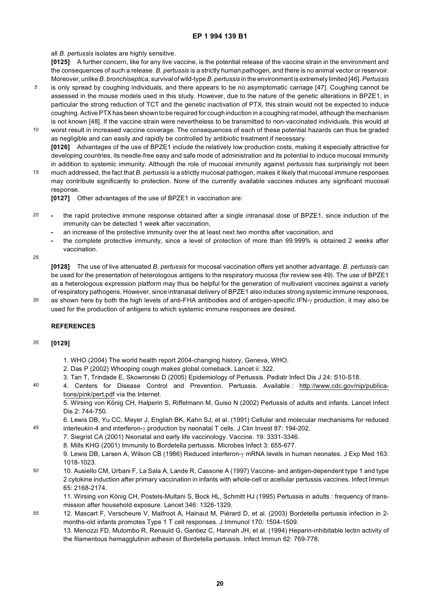all *B. pertussis* isolates are highly sensitive.

**[0125]** A further concern, like for any live vaccine, is the potential release of the vaccine strain in the environment and the consequences of such a release. *B. pertussis* is a strictly human pathogen, and there is no animal vector or reservoir. Moreover, unlike *B. bronchiseptica,* survival of wild-type *B*. *pertussis* in the environment is extremely limited [46]. *Pertussis*

- *5* is only spread by coughing individuals, and there appears to be no asymptomatic carriage [47]. Coughing cannot be assessed in the mouse models used in this study. However, due to the nature of the genetic alterations in BPZE1, in particular the strong reduction of TCT and the genetic inactivation of PTX, this strain would not be expected to induce coughing. Active PTX has been shown to be required for cough induction in a coughing rat model, although the mechanism is not known [48]. If the vaccine strain were nevertheless to be transmitted to non-vaccinated individuals, this would at
- *10* worst result in increased vaccine coverage. The consequences of each of these potential hazards can thus be graded as negligible and can easily and rapidly be controlled by antibiotic treatment if necessary. **[0126]** Advantages of the use of BPZE1 include the relatively low production costs, making it especially attractive for developing countries, its needle-free easy and safe mode of administration and its potential to induce mucosal immunity in addition to systemic immunity. Although the role of mucosal immunity against *pertussis* has surprisingly not been
- *15* much addressed, the fact that *B. pertussis* is a strictly mucosal pathogen, makes it likely that mucosal immune responses may contribute significantly to protection. None of the currently available vaccines induces any significant mucosal response.

**[0127]** Other advantages of the use of BPZE1 in vaccination are:

- *20* **-** the rapid protective immune response obtained after a single intranasal dose of BPZE1, since induction of the immunity can be detected 1 week after vaccination,
	- **-** an increase of the protective immunity over the at least next two months after vaccination, and
	- **-** the complete protective immunity, since a level of protection of more than 99.999% is obtained 2 weeks after vaccination.
- *25*

**[0128]** The use of live attenuated *B. pertussis* for mucosal vaccination offers yet another advantage. *B. pertussis* can be used for the presentation of heterologous antigens to the respiratory mucosa (for review see 49). The use of BPZE1 as a heterologous expression platform may thus be helpful for the generation of multivalent vaccines against a variety of respiratory pathogens. However, since intranasal delivery of BPZE1 also induces strong systemic immune responses,

*30* as shown here by both the high levels of anti-FHA antibodies and of antigen-specific IFN-γ production, it may also be used for the production of antigens to which systemic immune responses are desired.

#### **REFERENCES**

#### *35* **[0129]**

*45*

- 1. WHO (2004) The world health report 2004-changing history, Geneva, WHO.
- 2. Das P (2002) Whooping cough makes global comeback. Lancet ii: 322.
- 3. Tan T, Trindade E, Skowronski D (2005) Epidemiology of Pertussis. Pediatr Infect Dis J 24: S10-S18.
- *40* 4. Centers for Disease Control and Prevention. Pertussis. Available : http://www.cdc.gov/nip/publications/pink/pert.pdf via the Internet.

5. Wirsing von König CH, Halperin S, Riffelmann M, Guiso N (2002) Pertussis of adults and infants. Lancet Infect Dis 2: 744-750.

6. Lewis DB, Yu CC, Meyer J, English BK, Kahn SJ, et al. (1991) Cellular and molecular mechanisms for reduced interleukin-4 and interferon-γ production by neonatal T cells. J Clin Invest 87: 194-202.

- 7. Siegrist CA (2001) Neonatal and early life vaccinology. Vaccine. 19: 3331-3346.
- 8. Mills KHG (2001) Immunity to Bordetella pertussis. Microbes Infect 3: 655-677.

9. Lewis DB, Larsen A, Wilson CB (1986) Reduced interferon-γ mRNA levels in human neonates. J Exp Med 163: 1018-1023.

*50* 10. Ausiello CM, Urbani F, La Sala A, Lande R, Cassone A (1997) Vaccine- and antigen-dependent type 1 and type 2 cytokine induction after primary vaccination in infants with whole-cell or acellular pertussis vaccines. Infect Immun 65: 2168-2174.

11. Wirsing von König CH, Postels-Multani S, Bock HL, Schmitt HJ (1995) Pertussis in adults : frequency of transmission after household exposure. Lancet 346: 1326-1329.

*55* 12. Mascart F, Verscheure V, Malfroot A, Hainaut M, Piérard D, et al. (2003) Bordetella pertussis infection in 2 months-old infants promotes Type 1 T cell responses. J Immunol 170: 1504-1509. 13. Menozzi FD, Mutombo R, Renauld G, Gantiez C, Hannah JH, et al. (1994) Heparin-inhibitable lectin activity of the filamentous hemagglutinin adhesin of Bordetella pertussis. Infect Immun 62: 769-778.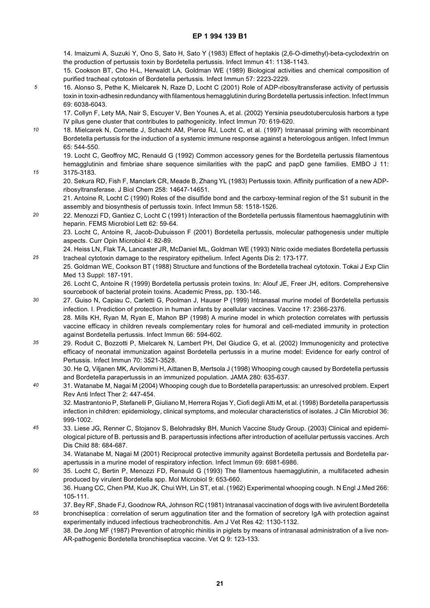14. Imaizumi A, Suzuki Y, Ono S, Sato H, Sato Y (1983) Effect of heptakis (2,6-O-dimethyl)-beta-cyclodextrin on the production of pertussis toxin by Bordetella pertussis. Infect Immun 41: 1138-1143.

15. Cookson BT, Cho H-L, Herwaldt LA, Goldman WE (1989) Biological activities and chemical composition of purified tracheal cytotoxin of Bordetella pertussis. Infect Immun 57: 2223-2229.

*5* 16. Alonso S, Pethe K, Mielcarek N, Raze D, Locht C (2001) Role of ADP-ribosyltransferase activity of pertussis toxin in toxin-adhesin redundancy with filamentous hemagglutinin during Bordetella pertussis infection. Infect Immun 69: 6038-6043.

17. Collyn F, Lety MA, Nair S, Escuyer V, Ben Younes A, et al. (2002) Yersinia pseudotuberculosis harbors a type IV pilus gene cluster that contributes to pathogenicity. Infect Immun 70: 619-620.

*10* 18. Mielcarek N, Cornette J, Schacht AM, Pierce RJ, Locht C, et al. (1997) Intranasal priming with recombinant Bordetella pertussis for the induction of a systemic immune response against a heterologous antigen. Infect Immun 65: 544-550.

*15*

*25*

19. Locht C, Geoffroy MC, Renauld G (1992) Common accessory genes for the Bordetella pertussis filamentous hemagglutinin and fimbriae share sequence similarities with the papC and papD gene families. EMBO J 11: 3175-3183.

20. Sekura RD, Fish F, Manclark CR, Meade B, Zhang YL (1983) Pertussis toxin. Affinity purification of a new ADPribosyltransferase. J Biol Chem 258: 14647-14651.

21. Antoine R, Locht C (1990) Roles of the disulfide bond and the carboxy-terminal region of the S1 subunit in the assembly and biosynthesis of pertussis toxin. Infect Immun 58: 1518-1526.

*20* 22. Menozzi FD, Gantiez C, Locht C (1991) Interaction of the Bordetella pertussis filamentous haemagglutinin with heparin. FEMS Microbiol Lett 62: 59-64.

23. Locht C, Antoine R, Jacob-Dubuisson F (2001) Bordetella pertussis, molecular pathogenesis under multiple aspects. Curr Opin Microbiol 4: 82-89.

24. Heiss LN, Flak TA, Lancaster JR, McDaniel ML, Goldman WE (1993) Nitric oxide mediates Bordetella pertussis tracheal cytotoxin damage to the respiratory epithelium. Infect Agents Dis 2: 173-177.

25. Goldman WE, Cookson BT (1988) Structure and functions of the Bordetella tracheal cytotoxin. Tokai J Exp Clin Med 13 Suppl: 187-191.

26. Locht C, Antoine R (1999) Bordetella pertussis protein toxins. In: Alouf JE, Freer JH, editors. Comprehensive sourcebook of bacterial protein toxins. Academic Press, pp. 130-146.

- *30* 27. Guiso N, Capiau C, Carletti G, Poolman J, Hauser P (1999) Intranasal murine model of Bordetella pertussis infection. I. Prediction of protection in human infants by acellular vaccines. Vaccine 17: 2366-2376. 28. Mills KH, Ryan M, Ryan E, Mahon BP (1998) A murine model in which protection correlates with pertussis vaccine efficacy in children reveals complementary roles for humoral and cell-mediated immunity in protection
- *35* against Bordetella pertussis. Infect Immun 66: 594-602. 29. Roduit C, Bozzotti P, Mielcarek N, Lambert PH, Del Giudice G, et al. (2002) Immunogenicity and protective efficacy of neonatal immunization against Bordetella pertussis in a murine model: Evidence for early control of Pertussis. Infect Immun 70: 3521-3528.

30. He Q, Viljanen MK, Arvilommi H, Aittanen B, Mertsola J (1998) Whooping cough caused by Bordetella pertussis and Bordetella parapertussis in an immunized population. JAMA 280: 635-637.

*40* 31. Watanabe M, Nagai M (2004) Whooping cough due to Bordetella parapertussis: an unresolved problem. Expert Rev Anti Infect Ther 2: 447-454.

32. Mastrantonio P, Stefanelli P, Giuliano M, Herrera Rojas Y, Ciofi degli Atti M, et al. (1998) Bordetella parapertussis infection in children: epidemiology, clinical symptoms, and molecular characteristics of isolates. J Clin Microbiol 36: 999-1002.

*45* 33. Liese JG, Renner C, Stojanov S, Belohradsky BH, Munich Vaccine Study Group. (2003) Clinical and epidemiological picture of B. pertussis and B. parapertussis infections after introduction of acellular pertussis vaccines. Arch Dis Child 88: 684-687.

34. Watanabe M, Nagai M (2001) Reciprocal protective immunity against Bordetella pertussis and Bordetella parapertussis in a murine model of respiratory infection. Infect Immun 69: 6981-6986.

*50* 35. Locht C, Bertin P, Menozzi FD, Renauld G (1993) The filamentous haemagglutinin, a multifaceted adhesin produced by virulent Bordetella spp. Mol Microbiol 9: 653-660.

36. Huang CC, Chen PM, Kuo JK, Chui WH, Lin ST, et al. (1962) Experimental whooping cough. N Engl J.Med 266: 105-111.

*55* 37. Bey RF, Shade FJ, Goodnow RA, Johnson RC (1981) Intranasal vaccination of dogs with live avirulent Bordetella bronchiseptica : correlation of serum aggutination titer and the formation of secretory IgA with protection against experimentally induced infectious tracheobronchitis. Am J Vet Res 42: 1130-1132.

38. De Jong MF (1987) Prevention of atrophic rhinitis in piglets by means of intranasal administration of a live non-AR-pathogenic Bordetella bronchiseptica vaccine. Vet Q 9: 123-133.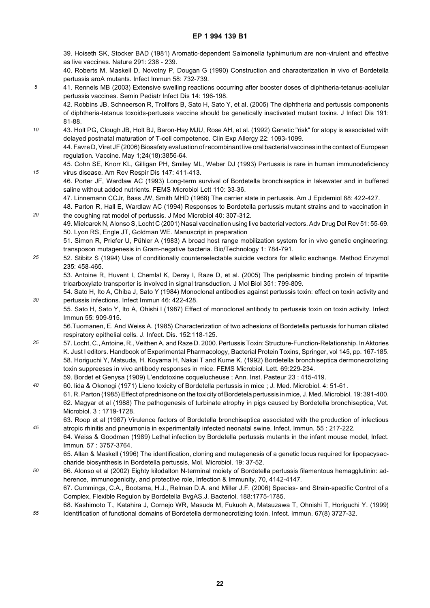39. Hoiseth SK, Stocker BAD (1981) Aromatic-dependent Salmonella typhimurium are non-virulent and effective as live vaccines. Nature 291: 238 - 239.

- 40. Roberts M, Maskell D, Novotny P, Dougan G (1990) Construction and characterization in vivo of Bordetella pertussis aroA mutants. Infect Immun 58: 732-739.
- *5* 41. Rennels MB (2003) Extensive swelling reactions occurring after booster doses of diphtheria-tetanus-acellular pertussis vaccines. Semin Pediatr Infect Dis 14: 196-198.
	- 42. Robbins JB, Schneerson R, Trollfors B, Sato H, Sato Y, et al. (2005) The diphtheria and pertussis components of diphtheria-tetanus toxoids-pertussis vaccine should be genetically inactivated mutant toxins. J Infect Dis 191: 81-88.
- *10* 43. Holt PG, Clough JB, Holt BJ, Baron-Hay MJU, Rose AH, et al. (1992) Genetic "risk" for atopy is associated with delayed postnatal maturation of T-cell competence. Clin Exp Allergy 22: 1093-1099. 44. Favre D, Viret JF (2006) Biosafety evaluation of recombinant live oral bacterial vaccines in the context of European regulation. Vaccine. May 1;24(18):3856-64.
- *15* 45. Cohn SE, Knorr KL, Gilligan PH, Smiley ML, Weber DJ (1993) Pertussis is rare in human immunodeficiency virus disease. Am Rev Respir Dis 147: 411-413.
	- 46. Porter JF, Wardlaw AC (1993) Long-term survival of Bordetella bronchiseptica in lakewater and in buffered saline without added nutrients. FEMS Microbiol Lett 110: 33-36.
		- 47. Linnemann CCJr, Bass JW, Smith MHD (1968) The carrier state in pertussis. Am J Epidemiol 88: 422-427.

48. Parton R, Hall E, Wardlaw AC (1994) Responses to Bordetella pertussis mutant strains and to vaccination in the coughing rat model of pertussis. J Med Microbiol 40: 307-312.

*20*

49. Mielcarek N, Alonso S, Locht C (2001) Nasal vaccination using live bacterial vectors. Adv Drug Del Rev 51: 55-69. 50. Lyon RS, Engle JT, Goldman WE. Manuscript in preparation

51. Simon R, Priefer U, Pühler A (1983) A broad host range mobilization system for in vivo genetic engineering: transposon mutagenesis in Gram-negative bacteria. Bio/Technology 1: 784-791.

*25* 52. Stibitz S (1994) Use of conditionally counterselectable suicide vectors for allelic exchange. Method Enzymol 235: 458-465.

53. Antoine R, Huvent I, Chemlal K, Deray I, Raze D, et al. (2005) The periplasmic binding protein of tripartite tricarboxylate transporter is involved in signal transduction. J Mol Biol 351: 799-809.

- *30* 54. Sato H, Ito A, Chiba J, Sato Y (1984) Monoclonal antibodies against pertussis toxin: effect on toxin activity and pertussis infections. Infect Immun 46: 422-428.
	- 55. Sato H, Sato Y, Ito A, Ohishi I (1987) Effect of monoclonal antibody to pertussis toxin on toxin activity. Infect Immun 55: 909-915.

56.Tuomanen, E. And Weiss A. (1985) Characterization of two adhesions of Bordetella pertussis for human ciliated respiratory epithelial cells. J. Infect. Dis. 152:118-125.

- *35* 57. Locht, C., Antoine, R., Veithen A. and Raze D. 2000. Pertussis Toxin: Structure-Function-Relationship. In Aktories K. Just I editors. Handbook of Experimental Pharmacology, Bacterial Protein Toxins, Springer, vol 145, pp. 167-185. 58. Horiguchi Y, Matsuda, H. Koyama H, Nakai T and Kume K. (1992) Bordetella bronchiseptica dermonecrotizing toxin suppreeses in vivo antibody responses in mice. FEMS Microbiol. Lett. 69:229-234.
- 59. Bordet et Genysa (1909) L'endotoxine coquelucheuse ; Ann. Inst. Pasteur 23 : 415-419.
- *40* 60. lida & Okonogi (1971) Lieno toxicity of Bordetella pertussis in mice ; J. Med. Microbiol. 4: 51-61. 61. R. Parton (1985) Effect of prednisone on the toxicity of Bordetela pertussis in mice, J. Med. Microbiol. 19: 391-400. 62. Magyar et al (1988) The pathogenesis of turbinate atrophy in pigs caused by Bordetella bronchiseptica, Vet. Microbiol. 3 : 1719-1728.
- *45* 63. Roop et al (1987) Virulence factors of Bordetella bronchiseptica associated with the production of infectious atropic rhinitis and pneumonia in experimentally infected neonatal swine, Infect. Immun. 55 : 217-222.
	- 64. Weiss & Goodman (1989) Lethal infection by Bordetella pertussis mutants in the infant mouse model, Infect. Immun. 57 : 3757-3764.

65. Allan & Maskell (1996) The identification, cloning and mutagenesis of a genetic locus required for lipopacysaccharide biosynthesis in Bordetella pertussis, Mol. Microbiol. 19: 37-52.

*50* 66. Alonso et al (2002) Eighty kilodalton N-terminal moiety of Bordetella pertussis filamentous hemagglutinin: adherence, immunogenicity, and protective role, Infection & Immunity, 70, 4142-4147.

67. Cummings, C.A., Bootsma, H.J., Relman D.A. and Miller J.F. (2006) Species- and Strain-specific Control of a Complex, Flexible Regulon by Bordetella BvgAS.J. Bacteriol. 188:1775-1785.

*55* 68. Kashimoto T., Katahira J, Cornejo WR, Masuda M, Fukuoh A, Matsuzawa T, Ohnishi T, Horiguchi Y. (1999) Identification of functional domains of Bordetella dermonecrotizing toxin. Infect. Immun. 67(8) 3727-32.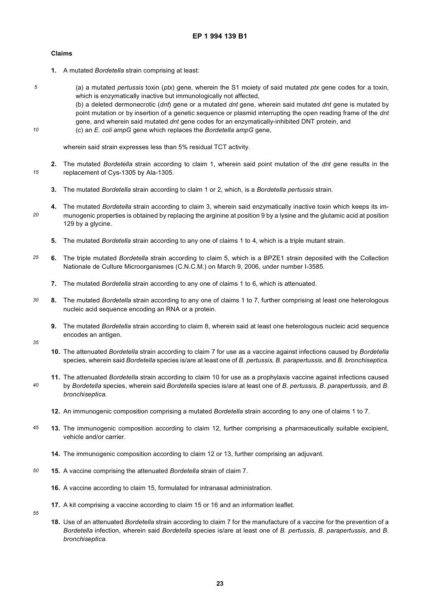#### **Claims**

*5*

*10*

*20*

- **1.** A mutated *Bordetella* strain comprising at least:
	- (a) a mutated *pertussis* toxin (*ptx*) gene, wherein the S1 moiety of said mutated *ptx* gene codes for a toxin, which is enzymatically inactive but immunologically not affected,

(b) a deleted dermonecrotic (*dnt*) gene or a mutated *dnt* gene, wherein said mutated *dnt* gene is mutated by point mutation or by insertion of a genetic sequence or plasmid interrupting the open reading frame of the *dnt* gene, and wherein said mutated *dnt* gene codes for an enzymatically-inhibited DNT protein, and (c) an *E*. *coli ampG* gene which replaces the *Bordetella ampG* gene,

wherein said strain expresses less than 5% residual TCT activity.

- *15* **2.** The mutated *Bordetella* strain according to claim 1, wherein said point mutation of the *dnt* gene results in the replacement of Cys-1305 by Ala-1305.
	- **3.** The mutated *Bordetella* strain according to claim 1 or 2, which, is a *Bordetella pertussis* strain.
	- **4.** The mutated *Bordetella* strain according to claim 3, wherein said enzymatically inactive toxin which keeps its immunogenic properties is obtained by replacing the arginine at position 9 by a lysine and the glutamic acid at position 129 by a glycine.
		- **5.** The mutated *Bordetella* strain according to any one of claims 1 to 4, which is a triple mutant strain.
- *25* **6.** The triple mutated *Bordetella* strain according to claim 5, which is a BPZE1 strain deposited with the Collection Nationale de Culture Microorganismes (C.N.C.M.) on March 9, 2006, under number I-3585.
	- **7.** The mutated *Bordetella* strain according to any one of claims 1 to 6, which is attenuated.
- *30* **8.** The mutated *Bordetella* strain according to any one of claims 1 to 7, further comprising at least one heterologous nucleic acid sequence encoding an RNA or a protein.
	- **9.** The mutated *Bordetella* strain according to claim 8, wherein said at least one heterologous nucleic acid sequence encodes an antigen.
- *35*

*55*

- **10.** The attenuated *Bordetella* strain according to claim 7 for use as a vaccine against infections caused by *Bordetella* species, wherein said *Bordetella* species is/are at least one of *B. pertussis, B. parapertussis,* and *B. bronchiseptica.*
- *40* **11.** The attenuated *Bordetella* strain according to claim 10 for use as a prophylaxis vaccine against infections caused by *Bordetella* species, wherein said *Bordetella* species is/are at least one of *B. pertussis, B. parapertussis,* and *B*. *bronchiseptica.*
	- **12.** An immunogenic composition comprising a mutated *Bordetella* strain according to any one of claims 1 to 7.
- *45* **13.** The immunogenic composition according to claim 12, further comprising a pharmaceutically suitable excipient, vehicle and/or carrier.
	- **14.** The immunogenic composition according to claim 12 or 13, further comprising an adjuvant.
- *50* **15.** A vaccine comprising the attenuated *Bordetella* strain of claim 7.
	- **16.** A vaccine according to claim 15, formulated for intranasal administration.
	- **17.** A kit comprising a vaccine according to claim 15 or 16 and an information leaflet.
		- **18.** Use of an attenuated *Bordetella* strain according to claim 7 for the manufacture of a vaccine for the prevention of a *Bordetella* infection, wherein said *Bordetella* species is/are at least one of *B. pertussis, B. parapertussis,* and *B. bronchiseptica.*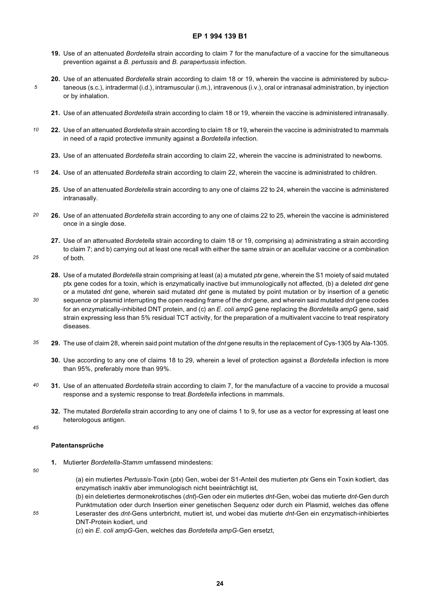- **19.** Use of an attenuated *Bordetella* strain according to claim 7 for the manufacture of a vaccine for the simultaneous prevention against a *B. pertussis* and *B. parapertussis* infection.
- **20.** Use of an attenuated *Bordetella* strain according to claim 18 or 19, wherein the vaccine is administered by subcutaneous (s.c.), intradermal (i.d.), intramuscular (i.m.), intravenous (i.v.), oral or intranasal administration, by injection or by inhalation.
	- **21.** Use of an attenuated *Bordetella* strain according to claim 18 or 19, wherein the vaccine is administered intranasally.
- *10* **22.** Use of an attenuated *Bordetella* strain according to claim 18 or 19, wherein the vaccine is administrated to mammals in need of a rapid protective immunity against a *Bordetella* infection.
	- **23.** Use of an attenuated *Bordetella* strain according to claim 22, wherein the vaccine is administrated to newborns.
- *15* **24.** Use of an attenuated *Bordetella* strain according to claim 22, wherein the vaccine is administrated to children.
	- **25.** Use of an attenuated *Bordetella* strain according to any one of claims 22 to 24, wherein the vaccine is administered intranasally.
- *20* **26.** Use of an attenuated *Bordetella* strain according to any one of claims 22 to 25, wherein the vaccine is administered once in a single dose.
	- **27.** Use of an attenuated *Bordetella* strain according to claim 18 or 19, comprising a) administrating a strain according to claim 7; and b) carrying out at least one recall with either the same strain or an acellular vaccine or a combination of both.
	- **28.** Use of a mutated *Bordetella* strain comprising at least (a) a mutated *ptx* gene, wherein the S1 moiety of said mutated ptx gene codes for a toxin, which is enzymatically inactive but immunologically not affected, (b) a deleted *dnt* gene or a mutated *dnt* gene, wherein said mutated *dnt* gene is mutated by point mutation or by insertion of a genetic sequence or plasmid interrupting the open reading frame of the *dnt* gene, and wherein said mutated *dnt* gene codes for an enzymatically-inhibited DNT protein, and (c) an *E*. *coli ampG* gene replacing the *Bordetella ampG* gene, said strain expressing less than 5% residual TCT activity, for the preparation of a multivalent vaccine to treat respiratory diseases.
- *35* **29.** The use of claim 28, wherein said point mutation of the *dnt* gene results in the replacement of Cys-1305 by Ala-1305.
	- **30.** Use according to any one of claims 18 to 29, wherein a level of protection against a *Bordetella* infection is more than 95%, preferably more than 99%.
- *40* **31.** Use of an attenuated *Bordetella* strain according to claim 7, for the manufacture of a vaccine to provide a mucosal response and a systemic response to treat *Bordetella* infections in mammals.
	- **32.** The mutated *Bordetella* strain according to any one of claims 1 to 9, for use as a vector for expressing at least one heterologous antigen.
- *45*

*25*

*30*

*5*

#### **Patentansprüche**

**1.** Mutierter *Bordetella-Stamm* umfassend mindestens:

*50*

*55*

(a) ein mutiertes *Pertussis*-Toxin (*ptx*) Gen, wobei der S1-Anteil des mutierten *ptx* Gens ein Toxin kodiert, das enzymatisch inaktiv aber immunologisch nicht beeinträchtigt ist,

(b) ein deletiertes dermonekrotisches (*dnt*)-Gen oder ein mutiertes *dnt*-Gen, wobei das mutierte *dnt*-Gen durch Punktmutation oder durch Insertion einer genetischen Sequenz oder durch ein Plasmid, welches das offene Leseraster des *dnt*-Gens unterbricht, mutiert ist, und wobei das mutierte *dnt*-Gen ein enzymatisch-inhibiertes DNT-Protein kodiert, und

(c) ein *E*. *coli ampG*-Gen, welches das *Bordetella ampG*-Gen ersetzt,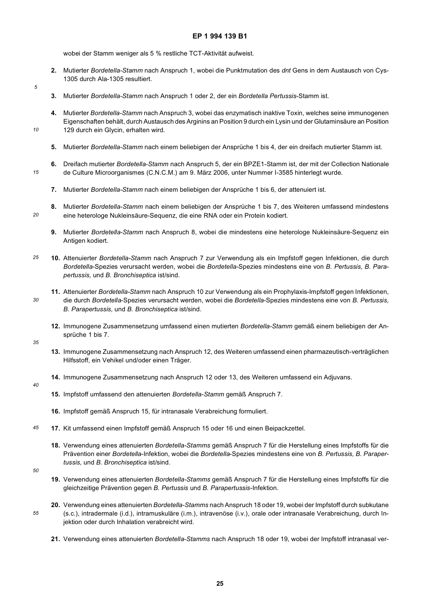wobei der Stamm weniger als 5 % restliche TCT-Aktivität aufweist.

- **2.** Mutierter *Bordetella-Stamm* nach Anspruch 1, wobei die Punktmutation des *dnt* Gens in dem Austausch von Cys-1305 durch Ala-1305 resultiert.
- **3.** Mutierter *Bordetella-Stamm* nach Anspruch 1 oder 2, der ein *Bordetella Pertussis*-Stamm ist.
- **4.** Mutierter *Bordetella-Stamm* nach Anspruch 3, wobei das enzymatisch inaktive Toxin, welches seine immunogenen Eigenschaften behält, durch Austausch des Arginins an Position 9 durch ein Lysin und der Glutaminsäure an Position 129 durch ein Glycin, erhalten wird.
- **5.** Mutierter *Bordetella-Stamm* nach einem beliebigen der Ansprüche 1 bis 4, der ein dreifach mutierter Stamm ist.
- *15* **6.** Dreifach mutierter *Bordetella-Stamm* nach Anspruch 5, der ein BPZE1-Stamm ist, der mit der Collection Nationale de Culture Microorganismes (C.N.C.M.) am 9. März 2006, unter Nummer I-3585 hinterlegt wurde.
	- **7.** Mutierter *Bordetella-Stamm* nach einem beliebigen der Ansprüche 1 bis 6, der attenuiert ist.
	- **8.** Mutierter *Bordetella-Stamm* nach einem beliebigen der Ansprüche 1 bis 7, des Weiteren umfassend mindestens eine heterologe Nukleinsäure-Sequenz, die eine RNA oder ein Protein kodiert.
		- **9.** Mutierter *Bordetella-Stamm* nach Anspruch 8, wobei die mindestens eine heterologe Nukleinsäure-Sequenz ein Antigen kodiert.
- *25* **10.** Attenuierter *Bordetella-Stamm* nach Anspruch 7 zur Verwendung als ein Impfstoff gegen Infektionen, die durch *Bordetella*-Spezies verursacht werden, wobei die *Bordetella*-Spezies mindestens eine von *B. Pertussis, B. Parapertussis,* und *B. Bronchiseptica* ist/sind.
	- **11.** Attenuierter *Bordetella-Stamm* nach Anspruch 10 zur Verwendung als ein Prophylaxis-Impfstoff gegen Infektionen, die durch *Bordetella*-Spezies verursacht werden, wobei die *Bordetella*-Spezies mindestens eine von *B. Pertussis, B. Parapertussis,* und *B. Bronchiseptica* ist/sind.
		- **12.** Immunogene Zusammensetzung umfassend einen mutierten *Bordetella-Stamm* gemäß einem beliebigen der Ansprüche 1 bis 7.
- *35*

*30*

*5*

*10*

*20*

- **13.** Immunogene Zusammensetzung nach Anspruch 12, des Weiteren umfassend einen pharmazeutisch-verträglichen Hilfsstoff, ein Vehikel und/oder einen Träger.
- **14.** Immunogene Zusammensetzung nach Anspruch 12 oder 13, des Weiteren umfassend ein Adjuvans.
- *40*
- **15.** Impfstoff umfassend den attenuierten *Bordetella-Stamm* gemäß Anspruch 7.
- **16.** Impfstoff gemäß Anspruch 15, für intranasale Verabreichung formuliert.
- *45* **17.** Kit umfassend einen Impfstoff gemäß Anspruch 15 oder 16 und einen Beipackzettel.
	- **18.** Verwendung eines attenuierten *Bordetella-Stamms* gemäß Anspruch 7 für die Herstellung eines Impfstoffs für die Prävention einer *Bordetella*-Infektion, wobei die *Bordetella*-Spezies mindestens eine von *B. Pertussis, B. Parapertussis,* und *B. Bronchiseptica* ist/sind.
- *50*

*55*

- **19.** Verwendung eines attenuierten *Bordetella-Stamms* gemäß Anspruch 7 für die Herstellung eines Impfstoffs für die gleichzeitige Prävention gegen *B. Pertussis* und *B. Parapertussis*-Infektion.
- **20.** Verwendung eines attenuierten *Bordetella-Stamms* nach Anspruch 18 oder 19, wobei der Impfstoff durch subkutane (s.c.), intradermale (i.d.), intramuskuläre (i.m.), intravenöse (i.v.), orale oder intranasale Verabreichung, durch Injektion oder durch Inhalation verabreicht wird.
	- **21.** Verwendung eines attenuierten *Bordetella-Stamms* nach Anspruch 18 oder 19, wobei der Impfstoff intranasal ver-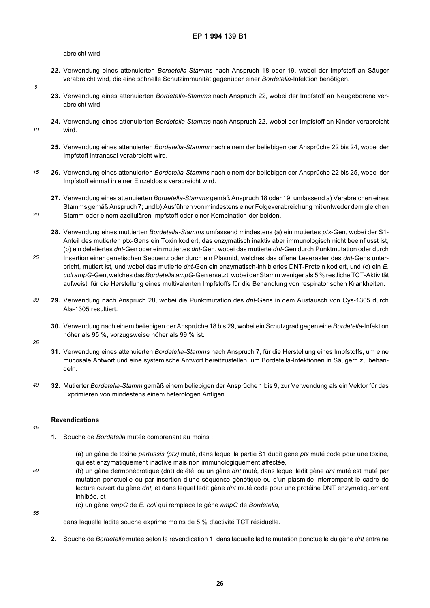abreicht wird.

- **22.** Verwendung eines attenuierten *Bordetella-Stamms* nach Anspruch 18 oder 19, wobei der Impfstoff an Säuger verabreicht wird, die eine schnelle Schutzimmunität gegenüber einer *Bordetella*-Infektion benötigen.
- **23.** Verwendung eines attenuierten *Bordetella-Stamms* nach Anspruch 22, wobei der Impfstoff an Neugeborene verabreicht wird.
- **24.** Verwendung eines attenuierten *Bordetella-Stamms* nach Anspruch 22, wobei der Impfstoff an Kinder verabreicht wird.
	- **25.** Verwendung eines attenuierten *Bordetella-Stamms* nach einem der beliebigen der Ansprüche 22 bis 24, wobei der Impfstoff intranasal verabreicht wird.
- *15* **26.** Verwendung eines attenuierten *Bordetella-Stamms* nach einem der beliebigen der Ansprüche 22 bis 25, wobei der Impfstoff einmal in einer Einzeldosis verabreicht wird.
	- **27.** Verwendung eines attenuierten *Bordetella-Stamms* gemäß Anspruch 18 oder 19, umfassend a) Verabreichen eines Stamms gemäß Anspruch 7; und b) Ausführen von mindestens einer Folgeverabreichung mit entweder dem gleichen Stamm oder einem azellulären Impfstoff oder einer Kombination der beiden.
	- **28.** Verwendung eines muttierten *Bordetella-Stamms* umfassend mindestens (a) ein mutiertes *ptx*-Gen, wobei der S1-
- *25* Anteil des mutierten ptx-Gens ein Toxin kodiert, das enzymatisch inaktiv aber immunologisch nicht beeinflusst ist, (b) ein deletiertes *dnt*-Gen oder ein mutiertes *dnt*-Gen, wobei das mutierte *dnt*-Gen durch Punktmutation oder durch Insertion einer genetischen Sequenz oder durch ein Plasmid, welches das offene Leseraster des *dnt*-Gens unterbricht, mutiert ist, und wobei das mutierte *dnt*-Gen ein enzymatisch-inhibiertes DNT-Protein kodiert, und (c) ein *E*. *coli ampG-*Gen, welches das *Bordetella ampG*-Gen ersetzt, wobei der Stamm weniger als 5 % restliche TCT-Aktivität aufweist, für die Herstellung eines multivalenten Impfstoffs für die Behandlung von respiratorischen Krankheiten.
- *30* **29.** Verwendung nach Anspruch 28, wobei die Punktmutation des *dnt*-Gens in dem Austausch von Cys-1305 durch Ala-1305 resultiert.
	- **30.** Verwendung nach einem beliebigen der Ansprüche 18 bis 29, wobei ein Schutzgrad gegen eine *Bordetella*-Infektion höher als 95 %, vorzugsweise höher als 99 % ist.
- *35*

*5*

*10*

*20*

- **31.** Verwendung eines attenuierten *Bordetella-Stamms* nach Anspruch 7, für die Herstellung eines Impfstoffs, um eine mucosale Antwort und eine systemische Antwort bereitzustellen, um Bordetella-Infektionen in Säugern zu behandeln.
- *40* **32.** Mutierter *Bordetella-Stamm* gemäß einem beliebigen der Ansprüche 1 bis 9, zur Verwendung als ein Vektor für das Exprimieren von mindestens einem heterologen Antigen.

#### **Revendications**

#### *45*

*50*

- **1.** Souche de *Bordetella* mutée comprenant au moins :
	- (a) un gène de toxine *pertussis (ptx)* muté, dans lequel la partie S1 dudit gène *ptx* muté code pour une toxine, qui est enzymatiquement inactive mais non immunologiquement affectée,
- (b) un gène dermonécrotique (dnt) délété, ou un gène *dnt* muté, dans lequel ledit gène *dnt* muté est muté par mutation ponctuelle ou par insertion d'une séquence génétique ou d'un plasmide interrompant le cadre de lecture ouvert du gène *dnt,* et dans lequel ledit gène *dnt* muté code pour une protéine DNT enzymatiquement inhibée, et

(c) un gène *ampG* de *E. coli* qui remplace le gène *ampG* de *Bordetella,*

dans laquelle ladite souche exprime moins de 5 % d'activité TCT résiduelle.

**2.** Souche de *Bordetella* mutée selon la revendication 1, dans laquelle ladite mutation ponctuelle du gène *dnt* entraine

*<sup>55</sup>*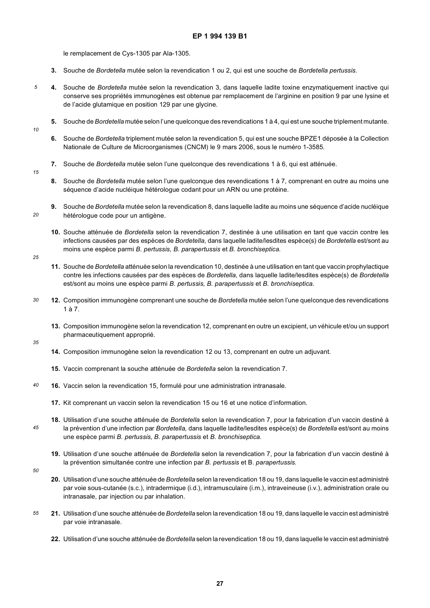le remplacement de Cys-1305 par Ala-1305.

- **3.** Souche de *Bordetella* mutée selon la revendication 1 ou 2, qui est une souche de *Bordetella pertussis.*
- **4.** Souche de *Bordetella* mutée selon la revendication 3, dans laquelle ladite toxine enzymatiquement inactive qui conserve ses propriétés immunogènes est obtenue par remplacement de l'arginine en position 9 par une lysine et de l'acide glutamique en position 129 par une glycine.
	- **5.** Souche de *Bordetella* mutée selon l'une quelconque des revendications 1 à 4, qui est une souche triplement mutante.
- *10*

*15*

*20*

*5*

- **6.** Souche de *Bordetella* triplement mutée selon la revendication 5, qui est une souche BPZE1 déposée à la Collection Nationale de Culture de Microorganismes (CNCM) le 9 mars 2006, sous le numéro 1-3585.
- **7.** Souche de *Bordetella* mutée selon l'une quelconque des revendications 1 à 6, qui est atténuée.
	- **8.** Souche de *Bordetella* mutée selon l'une quelconque des revendications 1 à 7, comprenant en outre au moins une séquence d'acide nucléique hétérologue codant pour un ARN ou une protéine.
	- **9.** Souche de *Bordetella* mutée selon la revendication 8, dans laquelle ladite au moins une séquence d'acide nucléique hétérologue code pour un antigène.
		- **10.** Souche atténuée de *Bordetella* selon la revendication 7, destinée à une utilisation en tant que vaccin contre les infections causées par des espèces de *Bordetella,* dans laquelle ladite/lesdites espèce(s) de *Bordetella* est/sont au moins une espèce parmi *B. pertussis, B. parapertussis* et *B. bronchiseptica.*
- *25*
- **11.** Souche de *Bordetella* atténuée selon la revendication 10, destinée à une utilisation en tant que vaccin prophylactique contre les infections causées par des espèces de *Bordetella,* dans laquelle ladite/lesdites espèce(s) de *Bordetella* est/sont au moins une espèce parmi *B. pertussis, B. parapertussis* et *B. bronchiseptica.*
- *30* **12.** Composition immunogène comprenant une souche de *Bordetella* mutée selon l'une quelconque des revendications 1 à 7.
	- **13.** Composition immunogène selon la revendication 12, comprenant en outre un excipient, un véhicule et/ou un support pharmaceutiquement approprié.
- *35*
- **14.** Composition immunogène selon la revendication 12 ou 13, comprenant en outre un adjuvant.
- **15.** Vaccin comprenant la souche atténuée de *Bordetella* selon la revendication 7.
- *40* **16.** Vaccin selon la revendication 15, formulé pour une administration intranasale.
	- **17.** Kit comprenant un vaccin selon la revendication 15 ou 16 et une notice d'information.
	- **18.** Utilisation d'une souche atténuée de *Bordetella* selon la revendication 7, pour la fabrication d'un vaccin destiné à la prévention d'une infection par *Bordetella,* dans laquelle ladite/lesdites espèce(s) de *Bordetella* est/sont au moins une espèce parmi *B. pertussis, B. parapertussis* et *B. bronchiseptica.*
	- **19.** Utilisation d'une souche atténuée de *Bordetella* selon la revendication 7, pour la fabrication d'un vaccin destiné à la prévention simultanée contre une infection par *B. pertussis* et B. *parapertussis.*
- *50*

*45*

- **20.** Utilisation d'une souche atténuée de *Bordetella* selon la revendication 18 ou 19, dans laquelle le vaccin est administré par voie sous-cutanée (s.c.), intradermique (i.d.), intramusculaire (i.m.), intraveineuse (i.v.), administration orale ou intranasale, par injection ou par inhalation.
- *55* **21.** Utilisation d'une souche atténuée de *Bordetella* selon la revendication 18 ou 19, dans laquelle le vaccin est administré par voie intranasale.
	- **22.** Utilisation d'une souche atténuée de *Bordetella* selon la revendication 18 ou 19, dans laquelle le vaccin est administré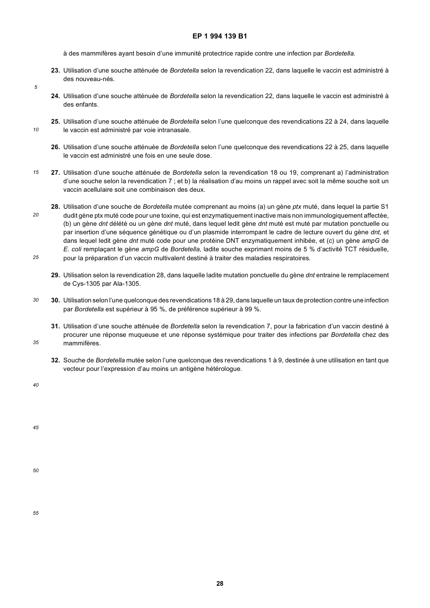à des mammifères ayant besoin d'une immunité protectrice rapide contre une infection par *Bordetella.*

- **23.** Utilisation d'une souche atténuée de *Bordetella* selon la revendication 22, dans laquelle le vaccin est administré à des nouveau-nés.
- *5*

*10*

- **24.** Utilisation d'une souche atténuée de *Bordetella* selon la revendication 22, dans laquelle le vaccin est administré à des enfants.
- **25.** Utilisation d'une souche atténuée de *Bordetella* selon l'une quelconque des revendications 22 à 24, dans laquelle le vaccin est administré par voie intranasale.
- **26.** Utilisation d'une souche atténuée de *Bordetella* selon l'une quelconque des revendications 22 à 25, dans laquelle le vaccin est administré une fois en une seule dose.
- *15* **27.** Utilisation d'une souche atténuée de *Bordetella* selon la revendication 18 ou 19, comprenant a) l'administration d'une souche selon la revendication 7 ; et b) la réalisation d'au moins un rappel avec soit la même souche soit un vaccin acellulaire soit une combinaison des deux.
- *20 25* **28.** Utilisation d'une souche de *Bordetella* mutée comprenant au moins (a) un gène *ptx* muté, dans lequel la partie S1 dudit gène ptx muté code pour une toxine, qui est enzymatiquement inactive mais non immunologiquement affectée, (b) un gène *dnt* délété ou un gène *dnt* muté, dans lequel ledit gène *dnt* muté est muté par mutation ponctuelle ou par insertion d'une séquence génétique ou d'un plasmide interrompant le cadre de lecture ouvert du gène *dnt,* et dans lequel ledit gène *dnt* muté code pour une protéine DNT enzymatiquement inhibée, et (c) un gène *ampG* de *E. coli* remplaçant le gène *ampG* de *Bordetella,* ladite souche exprimant moins de 5 % d'activité TCT résiduelle, pour la préparation d'un vaccin multivalent destiné à traiter des maladies respiratoires.
	- **29.** Utilisation selon la revendication 28, dans laquelle ladite mutation ponctuelle du gène *dnt* entraine le remplacement de Cys-1305 par Ala-1305.
- *30* **30.** Utilisation selon l'une quelconque des revendications 18 à 29, dans laquelle un taux de protection contre une infection par *Bordetella* est supérieur à 95 %, de préférence supérieur à 99 %.
	- **31.** Utilisation d'une souche atténuée de *Bordetella* selon la revendication 7, pour la fabrication d'un vaccin destiné à procurer une réponse muqueuse et une réponse systémique pour traiter des infections par *Bordetella* chez des mammifères.
		- **32.** Souche de *Bordetella* mutée selon l'une quelconque des revendications 1 à 9, destinée à une utilisation en tant que vecteur pour l'expression d'au moins un antigène hétérologue.

*40*

*35*

*45*

*50*

*55*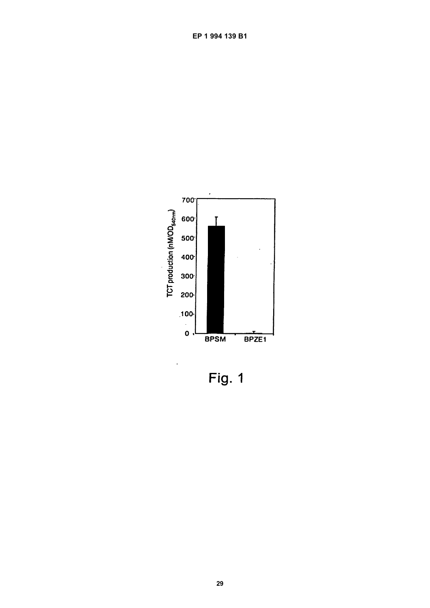

Fig. 1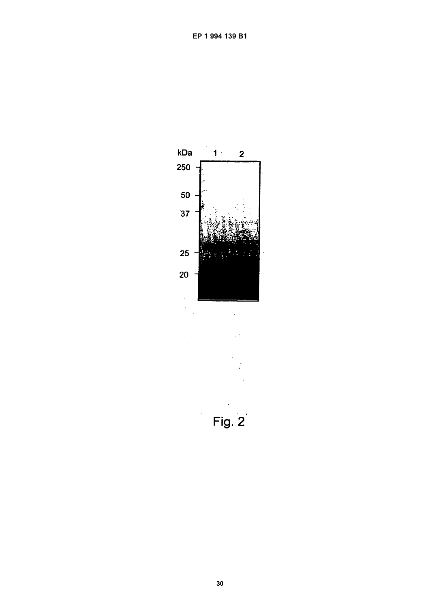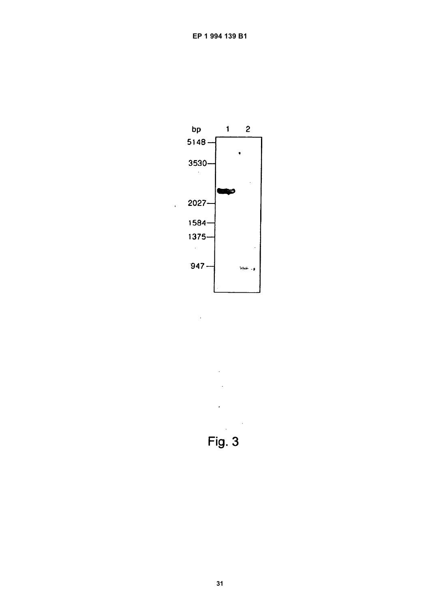

 $\ddot{\phantom{a}}$ 

 $\ddot{\phantom{a}}$ Fig. 3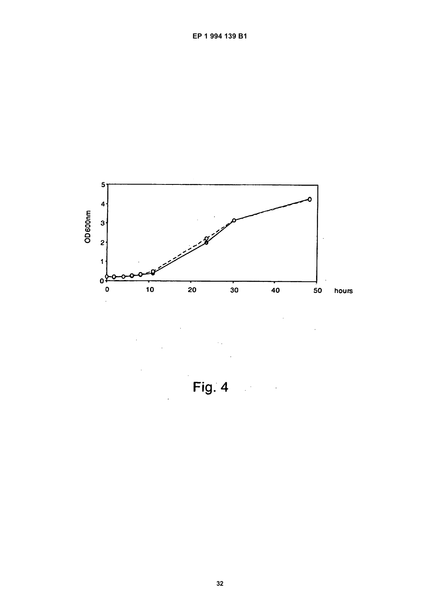

Fig. 4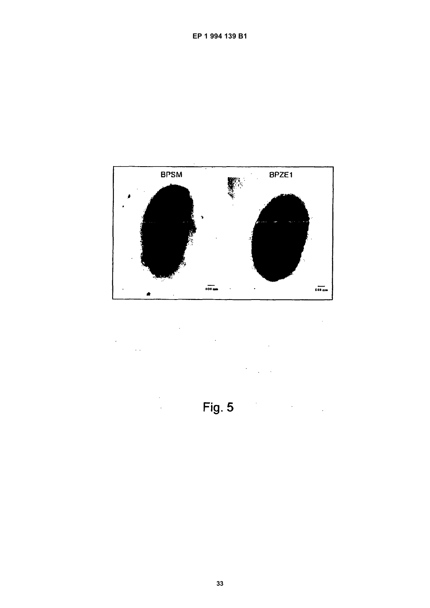

 $\ddot{\phantom{a}}$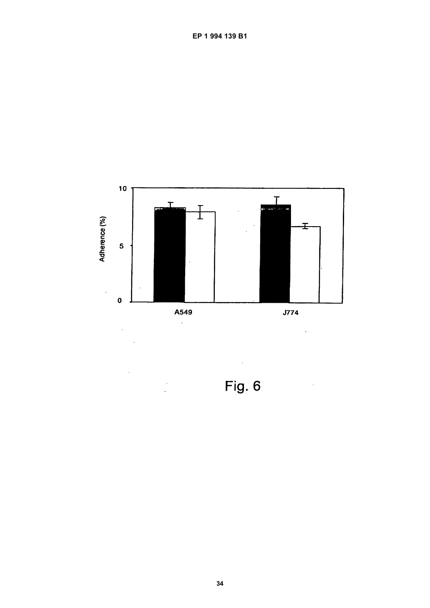

Fig. 6

 $\frac{1}{2}$  ).

EP 1 994 139 B1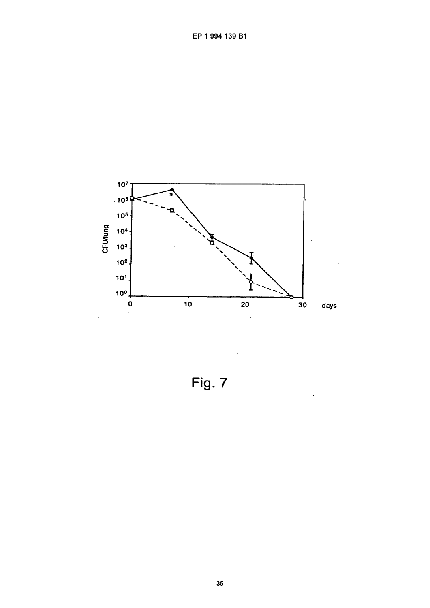

Fig. 7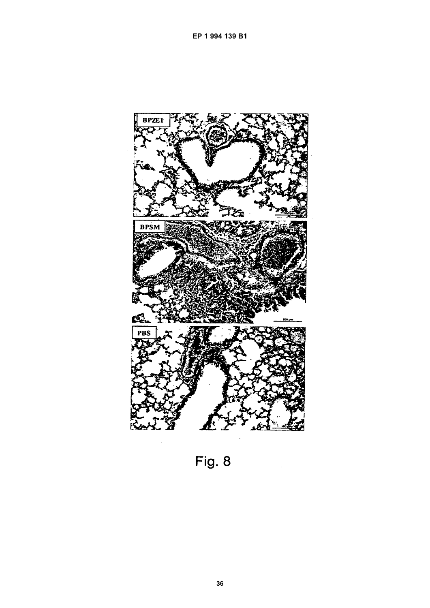

Fig. 8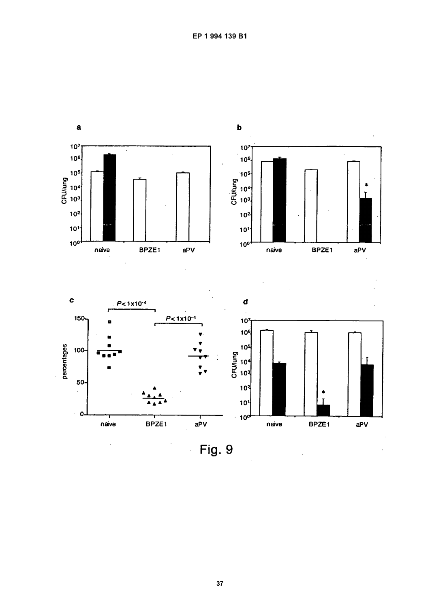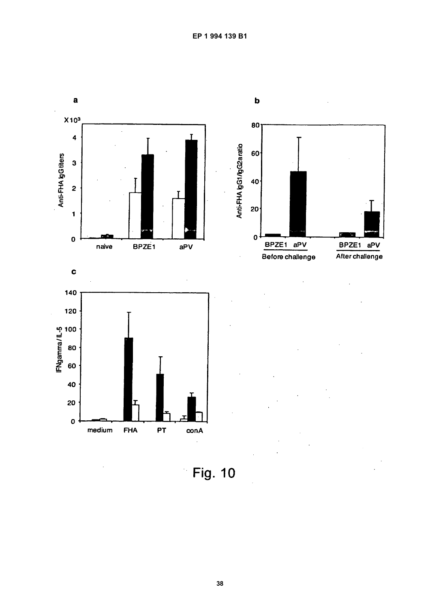

Fig. 10

conA

**PT** 

 $\mathbf{o}$ 

medium

**FHA**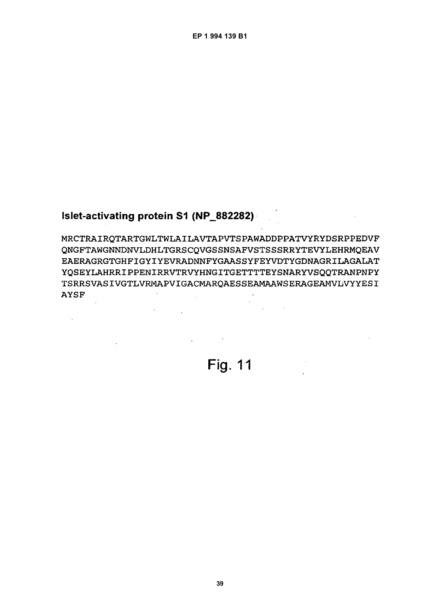## Islet-activating protein S1 (NP\_882282)

 $\Delta \sim 10^4$ 

 $\mathbb{Z}^2$ 

MRCTRAIROTARTGWLTWLAILAVTAPVTSPAWADDPPATVYRYDSRPPEDVF QNGFTAWGNNDNVLDHLTGRSCOVGSSNSAFVSTSSSRRYTEVYLEHRMQEAV EAERAGRGTGHFIGYIYEVRADNNFYGAASSYFEYVDTYGDNAGRILAGALAT YQSEYLAHRRIPPENIRRVTRVYHNGITGETTTTEYSNARYVSQQTRANPNPY **TSRRSVASIVGTLVRMAPVIGACMAROAESSEAMAAWSERAGEAMVLVYYESI AYSF**  $\sim$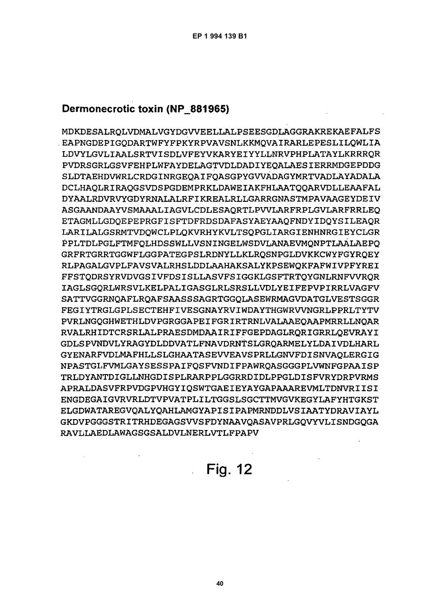# Dermonecrotic toxin (NP 881965)

MDKDESALROLVDMALVGYDGVVEELLALPSEESGDLAGGRAKREKAEFALFS EAPNGDEPIGODARTWFYFPKYRPVAVSNLKKMOVAIRARLEPESLILQWLIA LDVYLGVLIAALSRTVISDLVFEYVKARYEIYYLLNRVPHPLATAYLKRRRQR PVDRSGRLGSVFEHPLWFAYDELAGTVDLDADIYEQALAESIERRMDGEPDDG SLDTAEHDVWRLCRDGINRGEOAIFOASGPYGVVADAGYMRTVADLAYADALA DCLHAOLRIRAOGSVDSPGDEMPRKLDAWEIAKFHLAATOOARVDLLEAAFAL DYAALRDVRVYGDYRNALALRFIKREALRLLGARRGNASTMPAVAAGEYDEIV ASGAANDAAYVSMAAALIAGVLCDLESAORTLPVVLARFRPLGVLARFRRLEO ETAGMLLGDOEPEPRGFISFTDFRDSDAFASYAEYAAOFNDYIDOYSILEAOR LARILALGSRMTVDOWCLPLQKVRHYKVLTSQPGLIARGIENHNRGIEYCLGR PPLTDLPGLFTMFOLHDSSWLLVSNINGELWSDVLANAEVMONPTLAALAEPO GRFRTGRRTGGWFLGGPATEGPSLRDNYLLKLROSNPGLDVKKCWYFGYROEY RLPAGALGVPLFAVSVALRHSLDDLAAHAKSALYKPSEWOKFAFWIVPFYREI FFSTODRSYRVDVGSIVFDSISLLASVFSIGGKLGSFTRTOYGNLRNFVVROR IAGLSGORLWRSVLKELPALIGASGLRLSRSLLVDLYEIFEPVPIRRLVAGFV SATTVGGRNOAFLROAFSAASSSAGRTGGOLASEWRMAGVDATGLVESTSGGR FEGIYTRGLGPLSECTEHFIVESGNAYRVIWDAYTHGWRVVNGRLPPRLTYTV PVRLNGQGHWETHLDVPGRGGAPEIFGRIRTRNLVALAAEOAAPMRRLLNOAR RVALRHIDTCRSRLALPRAESDMDAAIRIFFGEPDAGLRQRIGRRLQEVRAYI GDLSPVNDVLYRAGYDLDDVATLFNAVDRNTSLGRQARMELYLDAIVDLHARL GYENARFVDLMAFHLLSLGHAATASEVVEAVSPRLLGNVFDISNVAOLERGIG NPASTGLFVMLGAYSESSPAIFQSFVNDIFPAWRQASGGGPLVWNFGPAAISP TRLDYANTDIGLLNHGDISPLRARPPLGGRRDIDLPPGLDISFVRYDRPVRMS APRALDASVFRPVDGPVHGYIQSWTGAEIEYAYGAPAAAREVMLTDNVRIISI ENGDEGAIGVRVRLDTVPVATPLILTGGSLSGCTTMVGVKEGYLAFYHTGKST ELGDWATAREGVOALYOAHLAMGYAPISIPAPMRNDDLVSIAATYDRAVIAYL GKDVPGGGSTRITRHDEGAGSVVSFDYNAAVOASAVPRLGOVYVLISNDGOGA RAVLIAEDLAWAGSGSALDVLNERLVTLFPAPV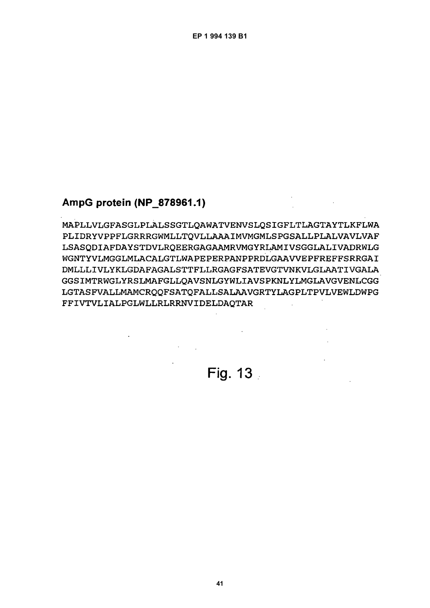# AmpG protein (NP 878961.1)

MAPLLVLGFASGLPLALSSGTLOAWATVENVSLOSIGFLTLAGTAYTLKFLWA PLIDRYVPPFLGRRRGWMLLTQVLLAAAIMVMGMLSPGSALLPLALVAVLVAF LSASQDIAFDAYSTDVLRQEERGAGAAMRVMGYRLAMIVSGGLALIVADRWLG WGNTYVLMGGLMLACALGTLWAPEPERPANPPRDLGAAVVEPFREFFSRRGAI DMLLLIVLYKLGDAFAGALSTTFLLRGAGFSATEVGTVNKVLGLAATIVGALA GGSIMTRWGLYRSLMAFGLLOAVSNLGYWLIAVSPKNLYLMGLAVGVENLCGG LGTASFVALLMAMCROOFSATOFALLSALAAVGRTYLAGPLTPVLVEWLDWPG FFIVTVLIALPGLWLLRLRRNVIDELDAQTAR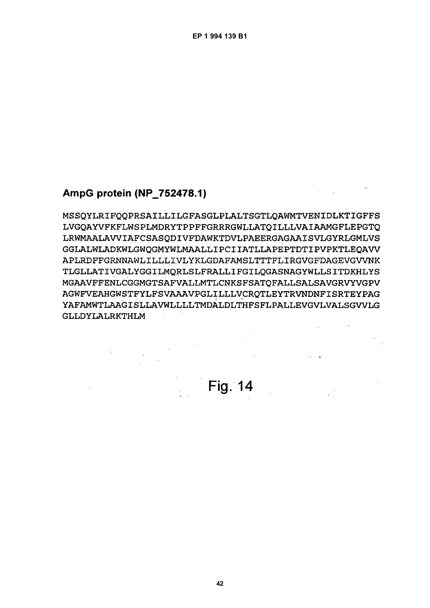# AmpG protein (NP\_752478.1)

MSSQYLRIFQQPRSAILLILGFASGLPLALTSGTLQAWMTVENIDLKTIGFFS LVGOAYVFKFLWSPLMDRYTPPFFGRRRGWLLATQILLLVAIAAMGFLEPGTQ LRWMAALAVVIAFCSASODIVFDAWKTDVLPAEERGAGAAISVLGYRLGMLVS GGLALWLADKWLGWOGMYWLMAALLIPCIIATLLAPEPTDTIPVPKTLEOAVV APLRDFFGRNNAWLILLLIVLYKLGDAFAMSLTTTFLIRGVGFDAGEVGVVNK TLGLLATIVGALYGGILMORLSLFRALLIFGILOGASNAGYWLLSITDKHLYS MGAAVFFENLCGGMGTSAFVALLMTLCNKSFSATQFALLSALSAVGRVYVGPV AGWFVEAHGWSTFYLFSVAAAVPGLILLLVCRQTLEYTRVNDNFISRTEYPAG YAFAMWTLAAGISLLAVWLLLLTMDALDLTHFSFLPALLEVGVLVALSGVVLG GLLDYLALRKTHLM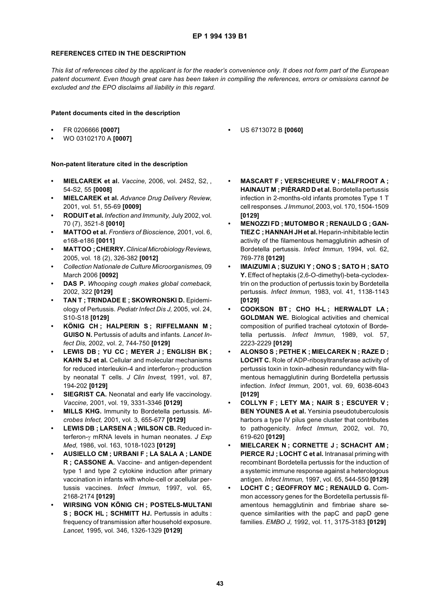#### **REFERENCES CITED IN THE DESCRIPTION**

*This list of references cited by the applicant is for the reader's convenience only. It does not form part of the European patent document. Even though great care has been taken in compiling the references, errors or omissions cannot be excluded and the EPO disclaims all liability in this regard.*

#### **Patent documents cited in the description**

- **•** FR 0206666 **[0007]**
- **•** WO 03102170 A **[0007]**

#### **Non-patent literature cited in the description**

- **MIELCAREK et al.** *Vaccine,* 2006, vol. 24S2, S2, , 54-S2, 55 **[0008]**
- **MIELCAREK et al.** *Advance Drug Delivery Review,* 2001, vol. 51, 55-69 **[0009]**
- **RODUIT et al.** *Infection and Immunity,* July 2002, vol. 70 (7), 3521-8 **[0010]**
- **MATTOO et al.** *Frontiers of Bioscience,* 2001, vol. 6, e168-e186 **[0011]**
- **MATTOO ; CHERRY.** *Clinical Microbiology Reviews,* 2005, vol. 18 (2), 326-382 **[0012]**
- **•** *Collection Nationale de Culture Microorganismes,* 09 March 2006 **[0092]**
- **DAS P.** *Whooping cough makes global comeback,* 2002, 322 **[0129]**
- **TAN T ; TRINDADE E ; SKOWRONSKI D.** Epidemiology of Pertussis. *Pediatr Infect Dis J,* 2005, vol. 24, S10-S18 **[0129]**
- **KÖNIG CH ; HALPERIN S ; RIFFELMANN M ; GUISO N.** Pertussis of adults and infants. *Lancet Infect Dis,* 2002, vol. 2, 744-750 **[0129]**
- **LEWIS DB ; YU CC ; MEYER J ; ENGLISH BK ; KAHN SJ et al.** Cellular and molecular mechanisms for reduced interleukin-4 and interferon-γ production by neonatal T cells. *J Clin Invest,* 1991, vol. 87, 194-202 **[0129]**
- **SIEGRIST CA.** Neonatal and early life vaccinology. *Vaccine,* 2001, vol. 19, 3331-3346 **[0129]**
- **MILLS KHG.** Immunity to Bordetella pertussis. *Microbes Infect,* 2001, vol. 3, 655-677 **[0129]**
- **LEWIS DB ; LARSEN A ; WILSON CB.** Reduced interferon-γ mRNA levels in human neonates. *J Exp Med,* 1986, vol. 163, 1018-1023 **[0129]**
- **AUSIELLO CM ; URBANI F ; LA SALA A ; LANDE R ; CASSONE A.** Vaccine- and antigen-dependent type 1 and type 2 cytokine induction after primary vaccination in infants with whole-cell or acellular pertussis vaccines. *Infect Immun,* 1997, vol. 65, 2168-2174 **[0129]**
- **WIRSING VON KÖNIG CH ; POSTELS-MULTANI S ; BOCK HL ; SCHMITT HJ.** Pertussis in adults : frequency of transmission after household exposure. *Lancet,* 1995, vol. 346, 1326-1329 **[0129]**
- **MASCART F ; VERSCHEURE V ; MALFROOT A ; HAINAUT M ; PIÉRARD D et al.** Bordetella pertussis infection in 2-months-old infants promotes Type 1 T cell responses. *J Immunol,* 2003, vol. 170, 1504-1509 **[0129]**
- **MENOZZI FD ; MUTOMBO R ; RENAULD G ; GAN-TIEZ C ; HANNAH JH et al.** Heparin-inhibitable lectin activity of the filamentous hemagglutinin adhesin of Bordetella pertussis. *Infect Immun,* 1994, vol. 62, 769-778 **[0129]**
- **IMAIZUMI A ; SUZUKI Y ; ONO S ; SATO H ; SATO Y.** Effect of heptakis (2,6-O-dimethyl)-beta-cyclodextrin on the production of pertussis toxin by Bordetella pertussis. *Infect Immun,* 1983, vol. 41, 1138-1143 **[0129]**
- **COOKSON BT ; CHO H-L ; HERWALDT LA ; GOLDMAN WE.** Biological activities and chemical composition of purified tracheal cytotoxin of Bordetella pertussis. *Infect Immun,* 1989, vol. 57, 2223-2229 **[0129]**
- **ALONSO S ; PETHE K ; MIELCAREK N ; RAZE D ; LOCHT C.** Role of ADP-ribosyltransferase activity of pertussis toxin in toxin-adhesin redundancy with filamentous hemagglutinin during Bordetella pertussis infection. *Infect Immun,* 2001, vol. 69, 6038-6043 **[0129]**
- **COLLYN F ; LETY MA ; NAIR S ; ESCUYER V ; BEN YOUNES A et al.** Yersinia pseudotuberculosis harbors a type IV pilus gene cluster that contributes to pathogenicity. *Infect Immun,* 2002, vol. 70, 619-620 **[0129]**
- **MIELCAREK N ; CORNETTE J ; SCHACHT AM ; PIERCE RJ ; LOCHT C et al.** Intranasal priming with recombinant Bordetella pertussis for the induction of a systemic immune response against a heterologous antigen. *Infect Immun,* 1997, vol. 65, 544-550 **[0129]**
- **LOCHT C ; GEOFFROY MC ; RENAULD G.** Common accessory genes for the Bordetella pertussis filamentous hemagglutinin and fimbriae share sequence similarities with the papC and papD gene families. *EMBO J,* 1992, vol. 11, 3175-3183 **[0129]**

**•** US 6713072 B **[0060]**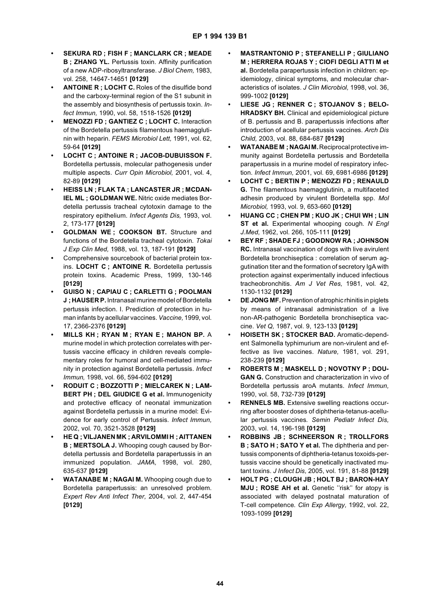- **SEKURA RD ; FISH F ; MANCLARK CR ; MEADE B ; ZHANG YL.** Pertussis toxin. Affinity purification of a new ADP-ribosyltransferase. *J Biol Chem,* 1983, vol. 258, 14647-14651 **[0129]**
- **ANTOINE R ; LOCHT C.** Roles of the disulfide bond and the carboxy-terminal region of the S1 subunit in the assembly and biosynthesis of pertussis toxin. *Infect Immun,* 1990, vol. 58, 1518-1526 **[0129]**
- **MENOZZI FD ; GANTIEZ C ; LOCHT C.** Interaction of the Bordetella pertussis filamentous haemagglutinin with heparin. *FEMS Microbiol Lett,* 1991, vol. 62, 59-64 **[0129]**
- **LOCHT C ; ANTOINE R ; JACOB-DUBUISSON F.** Bordetella pertussis, molecular pathogenesis under multiple aspects. *Curr Opin Microbiol,* 2001, vol. 4, 82-89 **[0129]**
- **HEISS LN ; FLAK TA ; LANCASTER JR ; MCDAN-IEL ML ; GOLDMAN WE.** Nitric oxide mediates Bordetella pertussis tracheal cytotoxin damage to the respiratory epithelium. *Infect Agents Dis,* 1993, vol. 2, 173-177 **[0129]**
- **GOLDMAN WE ; COOKSON BT.** Structure and functions of the Bordetella tracheal cytotoxin. *Tokai J Exp Clin Med,* 1988, vol. 13, 187-191 **[0129]**
- **•** Comprehensive sourcebook of bacterial protein toxins. **LOCHT C ; ANTOINE R.** Bordetella pertussis protein toxins. Academic Press, 1999, 130-146 **[0129]**
- **GUISO N ; CAPIAU C ; CARLETTI G ; POOLMAN J ; HAUSER P.** Intranasal murine model of Bordetella pertussis infection. I. Prediction of protection in human infants by acellular vaccines. *Vaccine,* 1999, vol. 17, 2366-2376 **[0129]**
- **MILLS KH ; RYAN M ; RYAN E ; MAHON BP.** A murine model in which protection correlates with pertussis vaccine efficacy in children reveals complementary roles for humoral and cell-mediated immunity in protection against Bordetella pertussis. *Infect Immun,* 1998, vol. 66, 594-602 **[0129]**
- **RODUIT C ; BOZZOTTI P ; MIELCAREK N ; LAM-BERT PH ; DEL GIUDICE G et al.** Immunogenicity and protective efficacy of neonatal immunization against Bordetella pertussis in a murine model: Evidence for early control of Pertussis. *Infect Immun,* 2002, vol. 70, 3521-3528 **[0129]**
- **HE Q ; VILJANEN MK ; ARVILOMMI H ; AITTANEN B ; MERTSOLA J.** Whooping cough caused by Bordetella pertussis and Bordetella parapertussis in an immunized population. *JAMA,* 1998, vol. 280, 635-637 **[0129]**
- **WATANABE M ; NAGAI M.** Whooping cough due to Bordetella parapertussis: an unresolved problem. *Expert Rev Anti Infect Ther,* 2004, vol. 2, 447-454 **[0129]**
- **MASTRANTONIO P ; STEFANELLI P ; GIULIANO M ; HERRERA ROJAS Y ; CIOFI DEGLI ATTI M et al.** Bordetella parapertussis infection in children: epidemiology, clinical symptoms, and molecular characteristics of isolates. *J Clin Microbiol,* 1998, vol. 36, 999-1002 **[0129]**
- **LIESE JG ; RENNER C ; STOJANOV S ; BELO-HRADSKY BH.** Clinical and epidemiological picture of B. pertussis and B. parapertussis infections after introduction of acellular pertussis vaccines. *Arch Dis Child,* 2003, vol. 88, 684-687 **[0129]**
- **WATANABE M ; NAGAI M.** Reciprocal protective immunity against Bordetella pertussis and Bordetella parapertussis in a murine model of respiratory infection. *Infect Immun,* 2001, vol. 69, 6981-6986 **[0129]**
- **LOCHT C ; BERTIN P ; MENOZZI FD ; RENAULD G.** The filamentous haemagglutinin, a multifaceted adhesin produced by virulent Bordetella spp. *Mol Microbiol,* 1993, vol. 9, 653-660 **[0129]**
- **HUANG CC ; CHEN PM ; KUO JK ; CHUI WH ; LIN ST et al.** Experimental whooping cough. *N Engl J.Med,* 1962, vol. 266, 105-111 **[0129]**
- **BEY RF ; SHADE FJ ; GOODNOW RA ; JOHNSON RC.** Intranasal vaccination of dogs with live avirulent Bordetella bronchiseptica : correlation of serum aggutination titer and the formation of secretory IgA with protection against experimentally induced infectious tracheobronchitis. *Am J Vet Res,* 1981, vol. 42, 1130-1132 **[0129]**
- **DE JONG MF.** Prevention of atrophic rhinitis in piglets by means of intranasal administration of a live non-AR-pathogenic Bordetella bronchiseptica vaccine. *Vet Q,* 1987, vol. 9, 123-133 **[0129]**
- **HOISETH SK ; STOCKER BAD.** Aromatic-dependent Salmonella typhimurium are non-virulent and effective as live vaccines. *Nature,* 1981, vol. 291, 238-239 **[0129]**
- **ROBERTS M ; MASKELL D ; NOVOTNY P ; DOU-GAN G.** Construction and characterization in vivo of Bordetella pertussis aroA mutants. *Infect Immun,* 1990, vol. 58, 732-739 **[0129]**
- **RENNELS MB.** Extensive swelling reactions occurring after booster doses of diphtheria-tetanus-acellular pertussis vaccines. *Semin Pediatr Infect Dis,* 2003, vol. 14, 196-198 **[0129]**
- **ROBBINS JB ; SCHNEERSON R ; TROLLFORS B ; SATO H ; SATO Y et al.** The diphtheria and pertussis components of diphtheria-tetanus toxoids-pertussis vaccine should be genetically inactivated mutant toxins. *J Infect Dis,* 2005, vol. 191, 81-88 **[0129]**
- **HOLT PG ; CLOUGH JB ; HOLT BJ ; BARON-HAY MJU ; ROSE AH et al.** Genetic ''risk'' for atopy is associated with delayed postnatal maturation of T-cell competence. *Clin Exp Allergy,* 1992, vol. 22, 1093-1099 **[0129]**